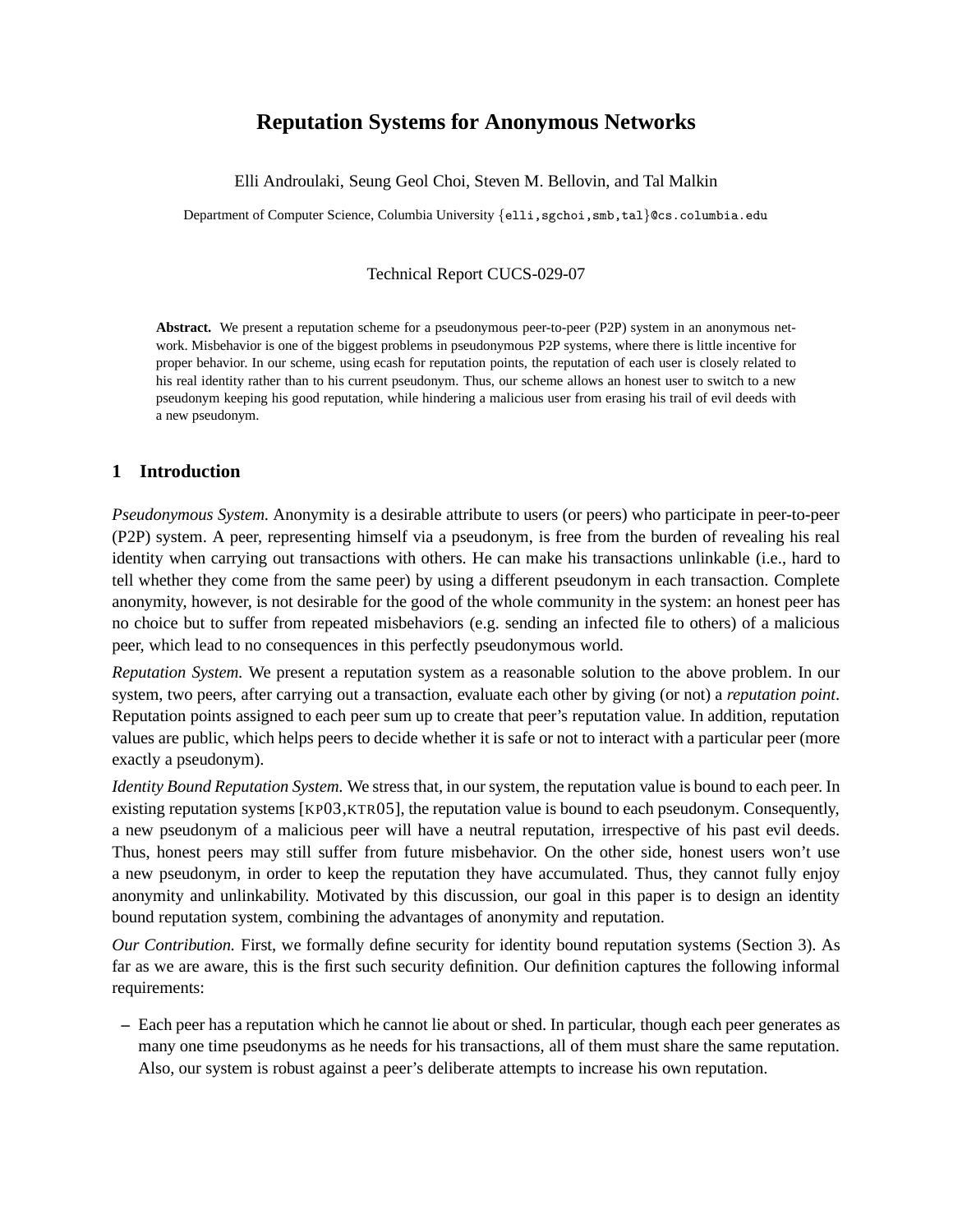# **Reputation Systems for Anonymous Networks**

Elli Androulaki, Seung Geol Choi, Steven M. Bellovin, and Tal Malkin

Department of Computer Science, Columbia University {elli,sgchoi,smb,tal}@cs.columbia.edu

# Technical Report CUCS-029-07

**Abstract.** We present a reputation scheme for a pseudonymous peer-to-peer (P2P) system in an anonymous network. Misbehavior is one of the biggest problems in pseudonymous P2P systems, where there is little incentive for proper behavior. In our scheme, using ecash for reputation points, the reputation of each user is closely related to his real identity rather than to his current pseudonym. Thus, our scheme allows an honest user to switch to a new pseudonym keeping his good reputation, while hindering a malicious user from erasing his trail of evil deeds with a new pseudonym.

# **1 Introduction**

*Pseudonymous System.* Anonymity is a desirable attribute to users (or peers) who participate in peer-to-peer (P2P) system. A peer, representing himself via a pseudonym, is free from the burden of revealing his real identity when carrying out transactions with others. He can make his transactions unlinkable (i.e., hard to tell whether they come from the same peer) by using a different pseudonym in each transaction. Complete anonymity, however, is not desirable for the good of the whole community in the system: an honest peer has no choice but to suffer from repeated misbehaviors (e.g. sending an infected file to others) of a malicious peer, which lead to no consequences in this perfectly pseudonymous world.

*Reputation System.* We present a reputation system as a reasonable solution to the above problem. In our system, two peers, after carrying out a transaction, evaluate each other by giving (or not) a *reputation point*. Reputation points assigned to each peer sum up to create that peer's reputation value. In addition, reputation values are public, which helps peers to decide whether it is safe or not to interact with a particular peer (more exactly a pseudonym).

*Identity Bound Reputation System.* We stress that, in our system, the reputation value is bound to each peer. In existing reputation systems [KP03,KTR05], the reputation value is bound to each pseudonym. Consequently, a new pseudonym of a malicious peer will have a neutral reputation, irrespective of his past evil deeds. Thus, honest peers may still suffer from future misbehavior. On the other side, honest users won't use a new pseudonym, in order to keep the reputation they have accumulated. Thus, they cannot fully enjoy anonymity and unlinkability. Motivated by this discussion, our goal in this paper is to design an identity bound reputation system, combining the advantages of anonymity and reputation.

*Our Contribution.* First, we formally define security for identity bound reputation systems (Section 3). As far as we are aware, this is the first such security definition. Our definition captures the following informal requirements:

**–** Each peer has a reputation which he cannot lie about or shed. In particular, though each peer generates as many one time pseudonyms as he needs for his transactions, all of them must share the same reputation. Also, our system is robust against a peer's deliberate attempts to increase his own reputation.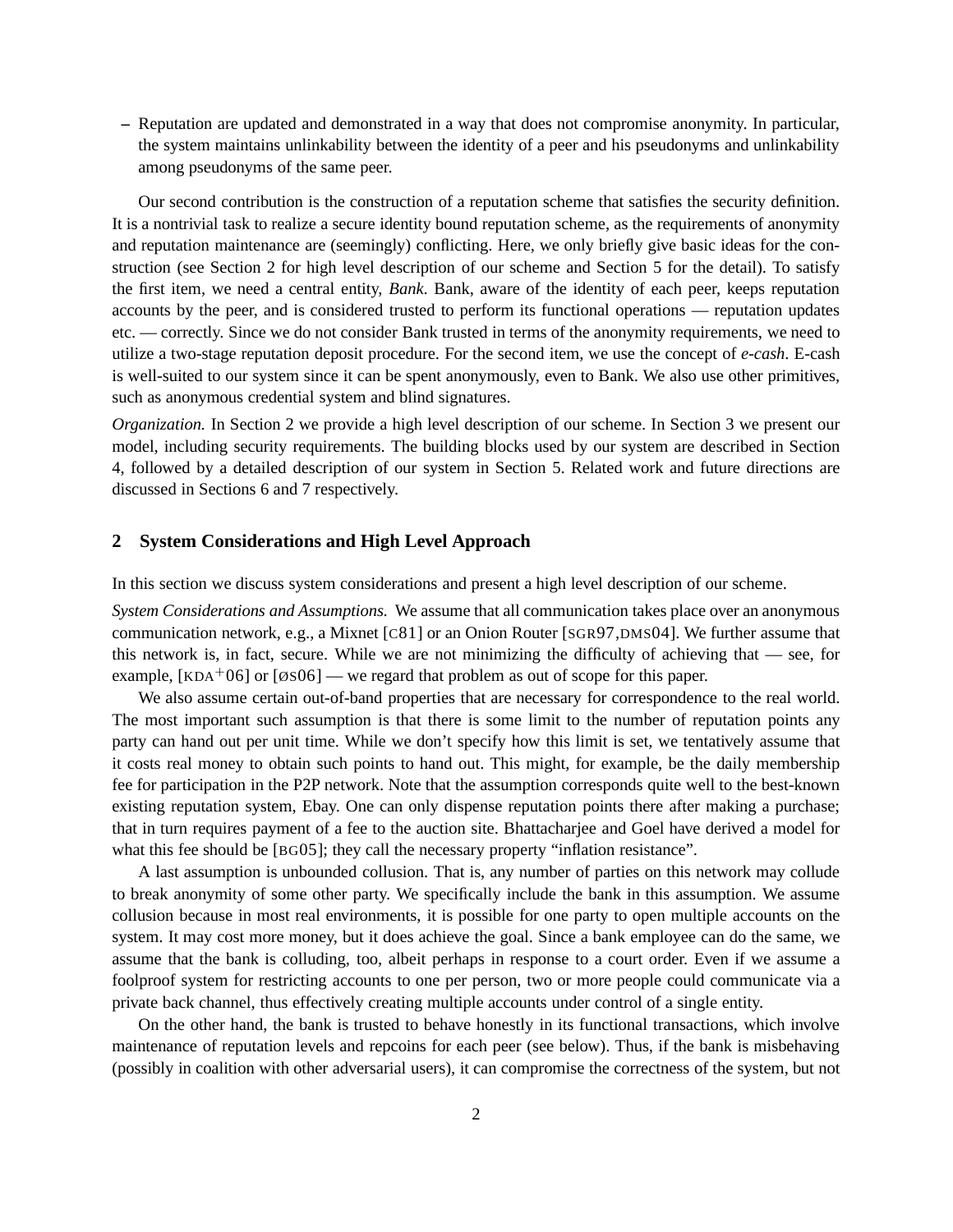**–** Reputation are updated and demonstrated in a way that does not compromise anonymity. In particular, the system maintains unlinkability between the identity of a peer and his pseudonyms and unlinkability among pseudonyms of the same peer.

Our second contribution is the construction of a reputation scheme that satisfies the security definition. It is a nontrivial task to realize a secure identity bound reputation scheme, as the requirements of anonymity and reputation maintenance are (seemingly) conflicting. Here, we only briefly give basic ideas for the construction (see Section 2 for high level description of our scheme and Section 5 for the detail). To satisfy the first item, we need a central entity, *Bank*. Bank, aware of the identity of each peer, keeps reputation accounts by the peer, and is considered trusted to perform its functional operations — reputation updates etc. — correctly. Since we do not consider Bank trusted in terms of the anonymity requirements, we need to utilize a two-stage reputation deposit procedure. For the second item, we use the concept of *e-cash*. E-cash is well-suited to our system since it can be spent anonymously, even to Bank. We also use other primitives, such as anonymous credential system and blind signatures.

*Organization.* In Section 2 we provide a high level description of our scheme. In Section 3 we present our model, including security requirements. The building blocks used by our system are described in Section 4, followed by a detailed description of our system in Section 5. Related work and future directions are discussed in Sections 6 and 7 respectively.

### **2 System Considerations and High Level Approach**

In this section we discuss system considerations and present a high level description of our scheme.

*System Considerations and Assumptions.* We assume that all communication takes place over an anonymous communication network, e.g., a Mixnet [C81] or an Onion Router [SGR97,DMS04]. We further assume that this network is, in fact, secure. While we are not minimizing the difficulty of achieving that — see, for example,  $[KDA^+06]$  or  $[Øs06]$  — we regard that problem as out of scope for this paper.

We also assume certain out-of-band properties that are necessary for correspondence to the real world. The most important such assumption is that there is some limit to the number of reputation points any party can hand out per unit time. While we don't specify how this limit is set, we tentatively assume that it costs real money to obtain such points to hand out. This might, for example, be the daily membership fee for participation in the P2P network. Note that the assumption corresponds quite well to the best-known existing reputation system, Ebay. One can only dispense reputation points there after making a purchase; that in turn requires payment of a fee to the auction site. Bhattacharjee and Goel have derived a model for what this fee should be [BG05]; they call the necessary property "inflation resistance".

A last assumption is unbounded collusion. That is, any number of parties on this network may collude to break anonymity of some other party. We specifically include the bank in this assumption. We assume collusion because in most real environments, it is possible for one party to open multiple accounts on the system. It may cost more money, but it does achieve the goal. Since a bank employee can do the same, we assume that the bank is colluding, too, albeit perhaps in response to a court order. Even if we assume a foolproof system for restricting accounts to one per person, two or more people could communicate via a private back channel, thus effectively creating multiple accounts under control of a single entity.

On the other hand, the bank is trusted to behave honestly in its functional transactions, which involve maintenance of reputation levels and repcoins for each peer (see below). Thus, if the bank is misbehaving (possibly in coalition with other adversarial users), it can compromise the correctness of the system, but not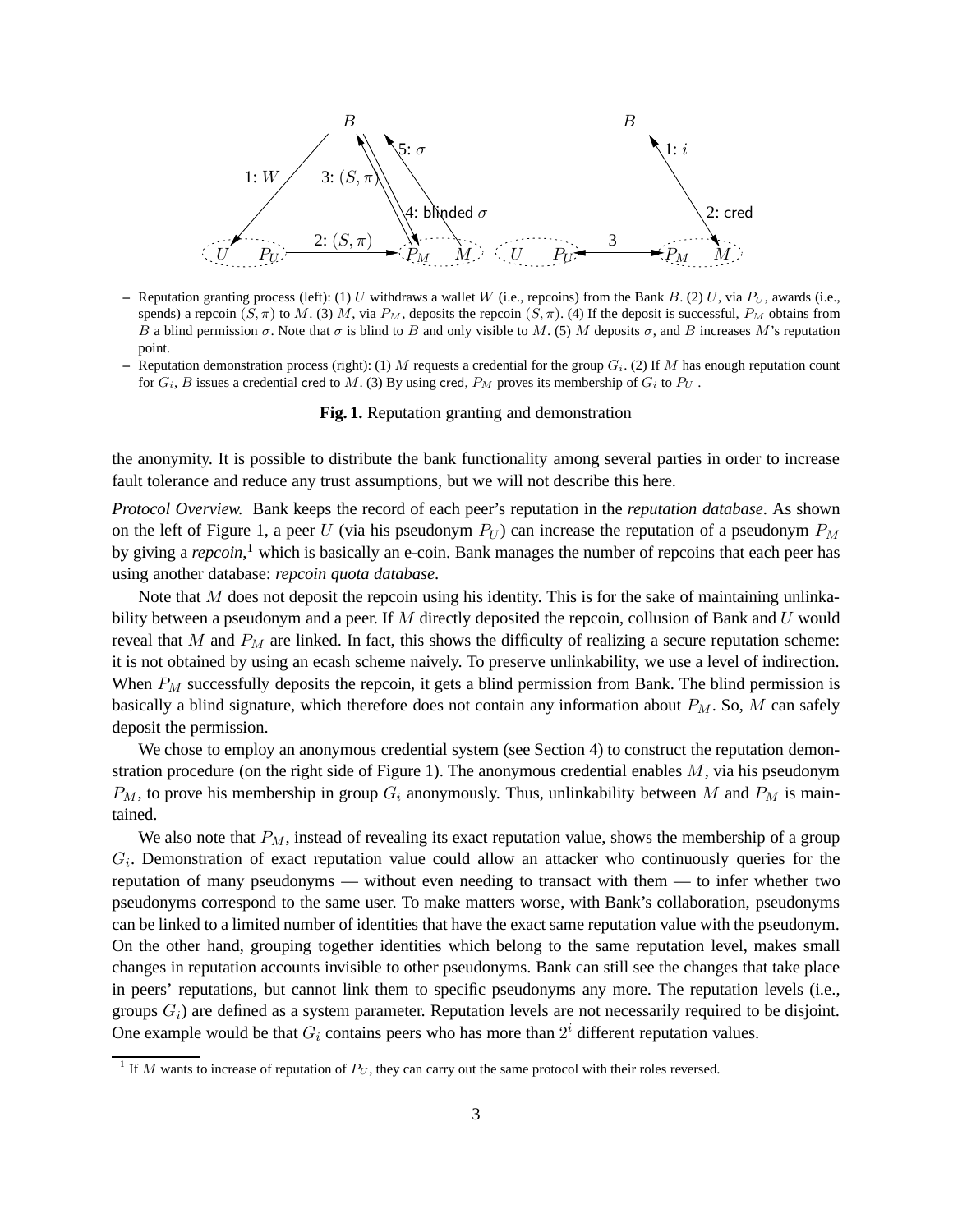

- Reputation granting process (left): (1) U withdraws a wallet W (i.e., repcoins) from the Bank B. (2) U, via  $P_U$ , awards (i.e., spends) a repcoin  $(S, \pi)$  to M. (3) M, via  $P_M$ , deposits the repcoin  $(S, \pi)$ . (4) If the deposit is successful,  $P_M$  obtains from B a blind permission  $\sigma$ . Note that  $\sigma$  is blind to B and only visible to M. (5) M deposits  $\sigma$ , and B increases M's reputation point.
- Reputation demonstration process (right): (1) M requests a credential for the group  $G_i$ . (2) If M has enough reputation count for  $G_i$ , B issues a credential cred to M. (3) By using cred,  $P_M$  proves its membership of  $G_i$  to  $P_U$ .

**Fig. 1.** Reputation granting and demonstration

the anonymity. It is possible to distribute the bank functionality among several parties in order to increase fault tolerance and reduce any trust assumptions, but we will not describe this here.

*Protocol Overview.* Bank keeps the record of each peer's reputation in the *reputation database*. As shown on the left of Figure 1, a peer U (via his pseudonym  $P_U$ ) can increase the reputation of a pseudonym  $P_M$ by giving a *repcoin*, <sup>1</sup> which is basically an e-coin. Bank manages the number of repcoins that each peer has using another database: *repcoin quota database*.

Note that M does not deposit the repcoin using his identity. This is for the sake of maintaining unlinkability between a pseudonym and a peer. If  $M$  directly deposited the repcoin, collusion of Bank and  $U$  would reveal that M and  $P_M$  are linked. In fact, this shows the difficulty of realizing a secure reputation scheme: it is not obtained by using an ecash scheme naively. To preserve unlinkability, we use a level of indirection. When  $P_M$  successfully deposits the repcoin, it gets a blind permission from Bank. The blind permission is basically a blind signature, which therefore does not contain any information about  $P_M$ . So, M can safely deposit the permission.

We chose to employ an anonymous credential system (see Section 4) to construct the reputation demonstration procedure (on the right side of Figure 1). The anonymous credential enables  $M$ , via his pseudonym  $P_M$ , to prove his membership in group  $G_i$  anonymously. Thus, unlinkability between M and  $P_M$  is maintained.

We also note that  $P_M$ , instead of revealing its exact reputation value, shows the membership of a group  $G_i$ . Demonstration of exact reputation value could allow an attacker who continuously queries for the reputation of many pseudonyms — without even needing to transact with them — to infer whether two pseudonyms correspond to the same user. To make matters worse, with Bank's collaboration, pseudonyms can be linked to a limited number of identities that have the exact same reputation value with the pseudonym. On the other hand, grouping together identities which belong to the same reputation level, makes small changes in reputation accounts invisible to other pseudonyms. Bank can still see the changes that take place in peers' reputations, but cannot link them to specific pseudonyms any more. The reputation levels (i.e., groups  $G_i$ ) are defined as a system parameter. Reputation levels are not necessarily required to be disjoint. One example would be that  $G_i$  contains peers who has more than  $2^i$  different reputation values.

<sup>&</sup>lt;sup>1</sup> If M wants to increase of reputation of  $P_U$ , they can carry out the same protocol with their roles reversed.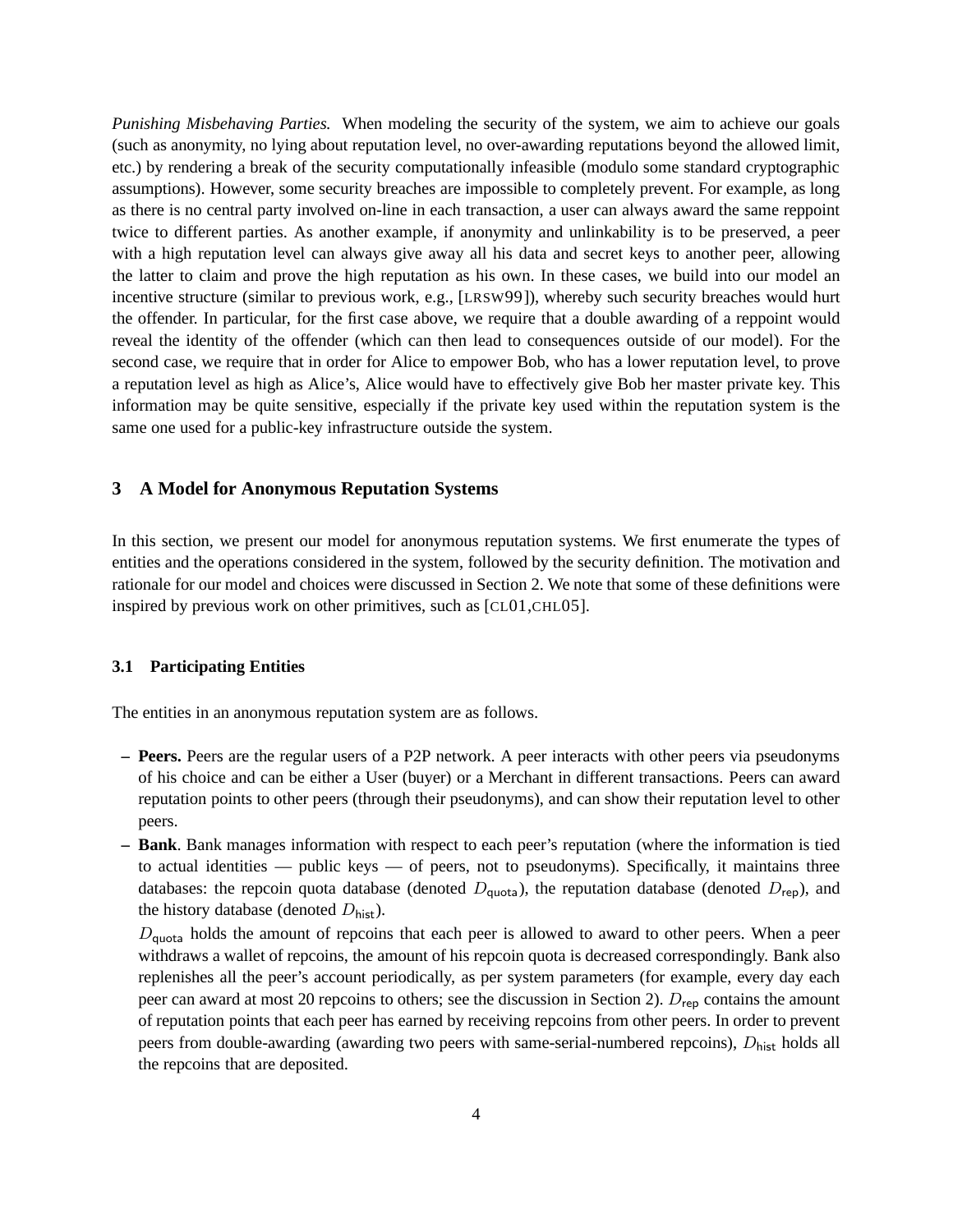*Punishing Misbehaving Parties.* When modeling the security of the system, we aim to achieve our goals (such as anonymity, no lying about reputation level, no over-awarding reputations beyond the allowed limit, etc.) by rendering a break of the security computationally infeasible (modulo some standard cryptographic assumptions). However, some security breaches are impossible to completely prevent. For example, as long as there is no central party involved on-line in each transaction, a user can always award the same reppoint twice to different parties. As another example, if anonymity and unlinkability is to be preserved, a peer with a high reputation level can always give away all his data and secret keys to another peer, allowing the latter to claim and prove the high reputation as his own. In these cases, we build into our model an incentive structure (similar to previous work, e.g., [LRSW99]), whereby such security breaches would hurt the offender. In particular, for the first case above, we require that a double awarding of a reppoint would reveal the identity of the offender (which can then lead to consequences outside of our model). For the second case, we require that in order for Alice to empower Bob, who has a lower reputation level, to prove a reputation level as high as Alice's, Alice would have to effectively give Bob her master private key. This information may be quite sensitive, especially if the private key used within the reputation system is the same one used for a public-key infrastructure outside the system.

# **3 A Model for Anonymous Reputation Systems**

In this section, we present our model for anonymous reputation systems. We first enumerate the types of entities and the operations considered in the system, followed by the security definition. The motivation and rationale for our model and choices were discussed in Section 2. We note that some of these definitions were inspired by previous work on other primitives, such as [CL01,CHL05].

# **3.1 Participating Entities**

The entities in an anonymous reputation system are as follows.

- **Peers.** Peers are the regular users of a P2P network. A peer interacts with other peers via pseudonyms of his choice and can be either a User (buyer) or a Merchant in different transactions. Peers can award reputation points to other peers (through their pseudonyms), and can show their reputation level to other peers.
- **Bank**. Bank manages information with respect to each peer's reputation (where the information is tied to actual identities — public keys — of peers, not to pseudonyms). Specifically, it maintains three databases: the repcoin quota database (denoted  $D_{\text{quot}}$ ), the reputation database (denoted  $D_{\text{rep}}$ ), and the history database (denoted  $D_{\text{hist}}$ ).

 $D_{\text{quota}}$  holds the amount of repcoins that each peer is allowed to award to other peers. When a peer withdraws a wallet of repcoins, the amount of his repcoin quota is decreased correspondingly. Bank also replenishes all the peer's account periodically, as per system parameters (for example, every day each peer can award at most 20 repcoins to others; see the discussion in Section 2).  $D_{\text{rep}}$  contains the amount of reputation points that each peer has earned by receiving repcoins from other peers. In order to prevent peers from double-awarding (awarding two peers with same-serial-numbered repcoins),  $D<sub>hist</sub>$  holds all the repcoins that are deposited.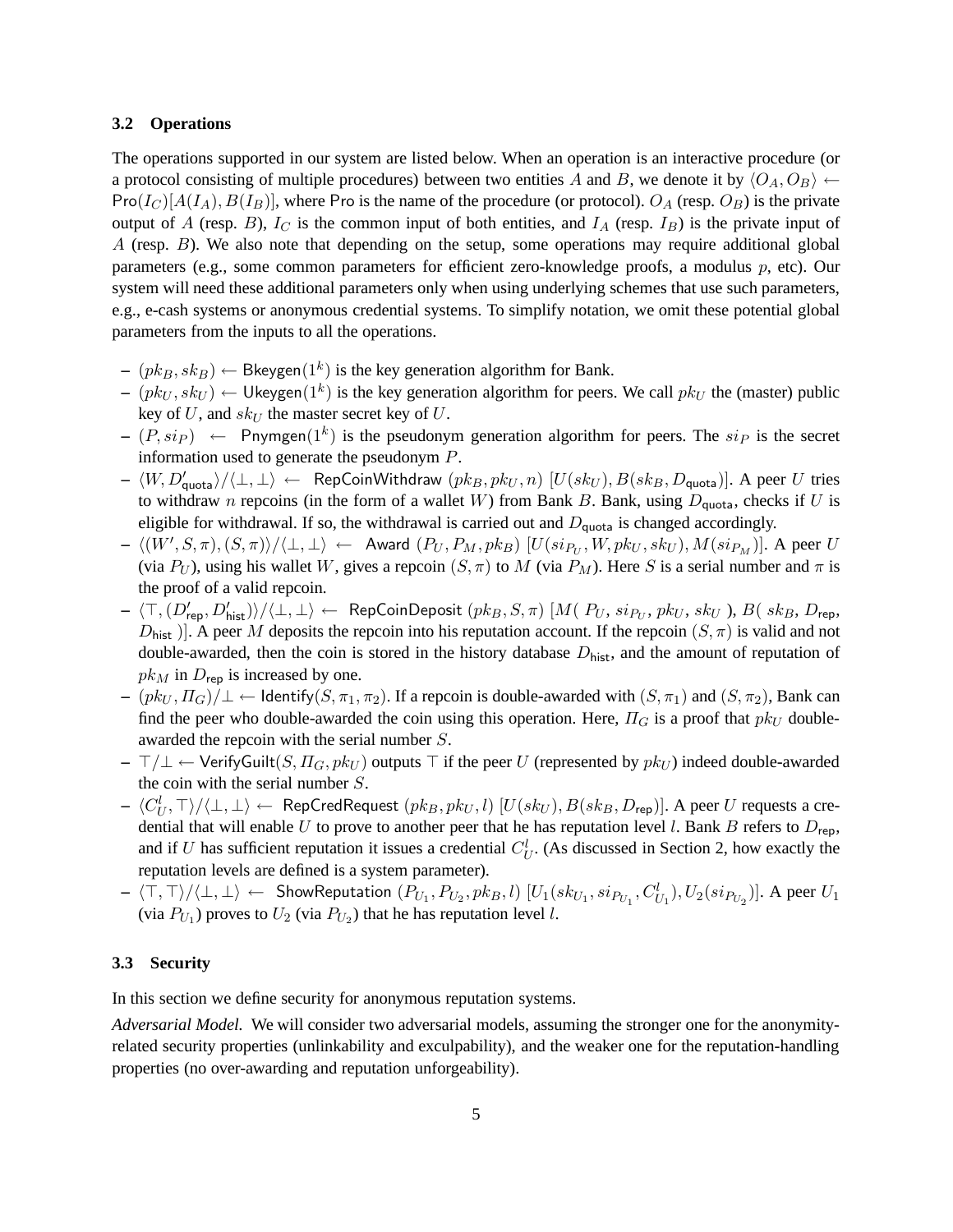#### **3.2 Operations**

The operations supported in our system are listed below. When an operation is an interactive procedure (or a protocol consisting of multiple procedures) between two entities A and B, we denote it by  $\langle O_A, O_B \rangle \leftarrow$  $Pro(I_C)[A(I_A), B(I_B)]$ , where Pro is the name of the procedure (or protocol).  $O_A$  (resp.  $O_B$ ) is the private output of A (resp. B),  $I_C$  is the common input of both entities, and  $I_A$  (resp.  $I_B$ ) is the private input of A (resp. B). We also note that depending on the setup, some operations may require additional global parameters (e.g., some common parameters for efficient zero-knowledge proofs, a modulus  $p$ , etc). Our system will need these additional parameters only when using underlying schemes that use such parameters, e.g., e-cash systems or anonymous credential systems. To simplify notation, we omit these potential global parameters from the inputs to all the operations.

- $(pk_B, sk_B) \leftarrow$  Bkeygen $(1^k)$  is the key generation algorithm for Bank.
- $(pk_U, sk_U) \leftarrow$  Ukeygen(1<sup>k</sup>) is the key generation algorithm for peers. We call  $pk_U$  the (master) public key of  $U$ , and  $skU$  the master secret key of  $U$ .
- $(P, sip) \leftarrow$  Pnymgen(1k) is the pseudonym generation algorithm for peers. The  $sip$  is the secret information used to generate the pseudonym P.
- $\langle W, D'_{\mathsf{quota}}\rangle/\langle\bot, \bot\rangle$  ← RepCoinWithdraw  $(pk_B, pk_U, n)$   $[U(sk_U), B(sk_B, D_{\mathsf{quota}})]$ . A peer  $U$  tries to withdraw *n* repcoins (in the form of a wallet W) from Bank B. Bank, using  $D_{\text{quot}}$ , checks if U is eligible for withdrawal. If so, the withdrawal is carried out and  $D_{\text{quot}}$  is changed accordingly.
- $\langle (W', S, \pi), (S, \pi) \rangle / \langle \bot, \bot \rangle$  ← Award  $(P_U, P_M, pk_B)$   $[U(sip_U^-, W, pk_U^-, sk_U^+), M(sip_M^+)]$ . A peer  $U$ (via  $P_U$ ), using his wallet W, gives a repcoin  $(S, \pi)$  to M (via  $P_M$ ). Here S is a serial number and  $\pi$  is the proof of a valid repcoin.
- $\langle \top, (D_{\mathsf{rep}}', D_{\mathsf{hist}}') \rangle / \langle \bot, \bot \rangle \leftarrow \ \mathsf{RepCoinDeposit}\ (pk_B, S, \pi)\ [M(\ P_U, s i_{P_U}, \textit{pk}_U, \textit{sk}_U), B(\ sk_B, D_{\mathsf{rep}}, \pi) ]$  $D_{\text{hist}}$ ). A peer M deposits the repcoin into his reputation account. If the repcoin  $(S, \pi)$  is valid and not double-awarded, then the coin is stored in the history database  $D<sub>hist</sub>$ , and the amount of reputation of  $pk<sub>M</sub>$  in  $D<sub>rep</sub>$  is increased by one.
- $(pk_U, \Pi_G)/\bot$  ← Identify(S, π<sub>1</sub>, π<sub>2</sub>). If a repcoin is double-awarded with (S, π<sub>1</sub>) and (S, π<sub>2</sub>), Bank can find the peer who double-awarded the coin using this operation. Here,  $\Pi_G$  is a proof that  $pk_U$  doubleawarded the repcoin with the serial number S.
- **–**  $\top/\bot$  ← VerifyGuilt(S,  $\Pi_G, pk_U$ ) outputs  $\top$  if the peer U (represented by  $pk_U$ ) indeed double-awarded the coin with the serial number S.
- $\langle C_U^l, \top \rangle/\langle \bot, \bot \rangle$  ← RepCredRequest  $(pk_B, pk_U, l)$   $[U(sk_U), B(sk_B, D_{\sf rep})].$  A peer  $U$  requests a credential that will enable U to prove to another peer that he has reputation level l. Bank B refers to  $D_{\text{rep}}$ , and if U has sufficient reputation it issues a credential  $C_U^l$ . (As discussed in Section 2, how exactly the reputation levels are defined is a system parameter).
- $\langle \top, \top \rangle / \langle \bot, \bot \rangle$  ← ShowReputation  $(P_{U_1}, P_{U_2},pk_B, l)$   $[U_1(sk_{U_1}, sip_{U_1}, C^l_{U_1}), U_2(sip_{U_2})].$  A peer  $U_1$ (via  $P_{U_1}$ ) proves to  $U_2$  (via  $P_{U_2}$ ) that he has reputation level l.

#### **3.3 Security**

In this section we define security for anonymous reputation systems.

*Adversarial Model.* We will consider two adversarial models, assuming the stronger one for the anonymityrelated security properties (unlinkability and exculpability), and the weaker one for the reputation-handling properties (no over-awarding and reputation unforgeability).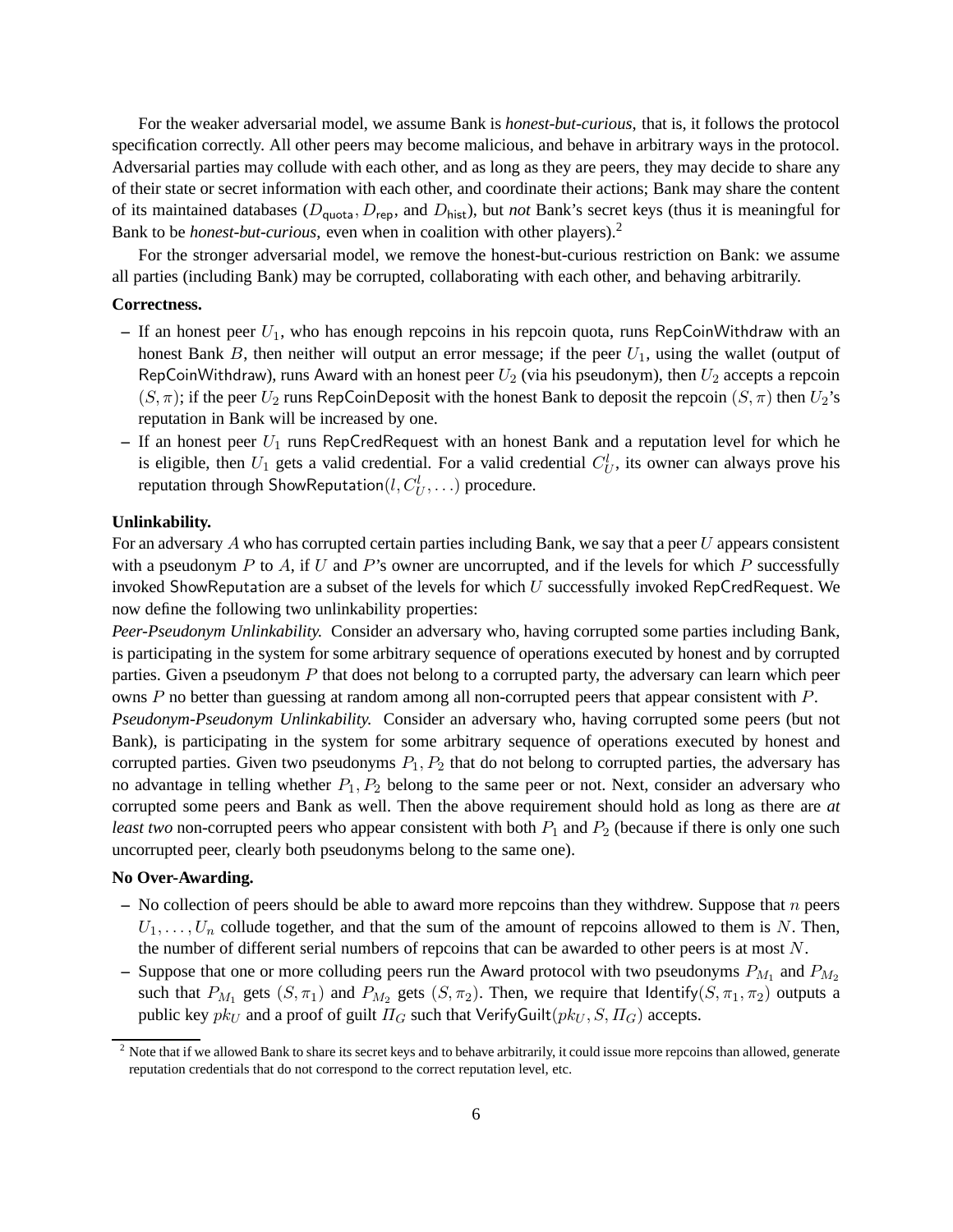For the weaker adversarial model, we assume Bank is *honest-but-curious*, that is, it follows the protocol specification correctly. All other peers may become malicious, and behave in arbitrary ways in the protocol. Adversarial parties may collude with each other, and as long as they are peers, they may decide to share any of their state or secret information with each other, and coordinate their actions; Bank may share the content of its maintained databases ( $D_{\text{quot}}$ ,  $D_{\text{rep}}$ , and  $D_{\text{hist}}$ ), but *not* Bank's secret keys (thus it is meaningful for Bank to be *honest-but-curious*, even when in coalition with other players).<sup>2</sup>

For the stronger adversarial model, we remove the honest-but-curious restriction on Bank: we assume all parties (including Bank) may be corrupted, collaborating with each other, and behaving arbitrarily.

#### **Correctness.**

- $-$  If an honest peer  $U_1$ , who has enough repcoins in his repcoin quota, runs RepCoinWithdraw with an honest Bank  $B$ , then neither will output an error message; if the peer  $U_1$ , using the wallet (output of RepCoinWithdraw), runs Award with an honest peer  $U_2$  (via his pseudonym), then  $U_2$  accepts a repcoin  $(S, \pi)$ ; if the peer  $U_2$  runs RepCoinDeposit with the honest Bank to deposit the repcoin  $(S, \pi)$  then  $U_2$ 's reputation in Bank will be increased by one.
- $-$  If an honest peer  $U_1$  runs RepCredRequest with an honest Bank and a reputation level for which he is eligible, then  $U_1$  gets a valid credential. For a valid credential  $C_U^l$ , its owner can always prove his reputation through ShowReputation $(l, C_{U}^{l}, \ldots)$  procedure.

#### **Unlinkability.**

For an adversary A who has corrupted certain parties including Bank, we say that a peer  $U$  appears consistent with a pseudonym  $P$  to  $A$ , if  $U$  and  $P$ 's owner are uncorrupted, and if the levels for which  $P$  successfully invoked ShowReputation are a subset of the levels for which  $U$  successfully invoked RepCredRequest. We now define the following two unlinkability properties:

*Peer-Pseudonym Unlinkability.* Consider an adversary who, having corrupted some parties including Bank, is participating in the system for some arbitrary sequence of operations executed by honest and by corrupted parties. Given a pseudonym  $P$  that does not belong to a corrupted party, the adversary can learn which peer owns P no better than guessing at random among all non-corrupted peers that appear consistent with P.

*Pseudonym-Pseudonym Unlinkability.* Consider an adversary who, having corrupted some peers (but not Bank), is participating in the system for some arbitrary sequence of operations executed by honest and corrupted parties. Given two pseudonyms  $P_1, P_2$  that do not belong to corrupted parties, the adversary has no advantage in telling whether  $P_1, P_2$  belong to the same peer or not. Next, consider an adversary who corrupted some peers and Bank as well. Then the above requirement should hold as long as there are *at least two* non-corrupted peers who appear consistent with both  $P_1$  and  $P_2$  (because if there is only one such uncorrupted peer, clearly both pseudonyms belong to the same one).

#### **No Over-Awarding.**

- **–** No collection of peers should be able to award more repcoins than they withdrew. Suppose that n peers  $U_1, \ldots, U_n$  collude together, and that the sum of the amount of repcoins allowed to them is N. Then, the number of different serial numbers of repcoins that can be awarded to other peers is at most N.
- $-$  Suppose that one or more colluding peers run the Award protocol with two pseudonyms  $P_{M_1}$  and  $P_{M_2}$ such that  $P_{M_1}$  gets  $(S, \pi_1)$  and  $P_{M_2}$  gets  $(S, \pi_2)$ . Then, we require that Identify $(S, \pi_1, \pi_2)$  outputs a public key  $pk_U$  and a proof of guilt  $\Pi_G$  such that VerifyGuilt $(pk_U, S, \Pi_G)$  accepts.

<sup>&</sup>lt;sup>2</sup> Note that if we allowed Bank to share its secret keys and to behave arbitrarily, it could issue more repcoins than allowed, generate reputation credentials that do not correspond to the correct reputation level, etc.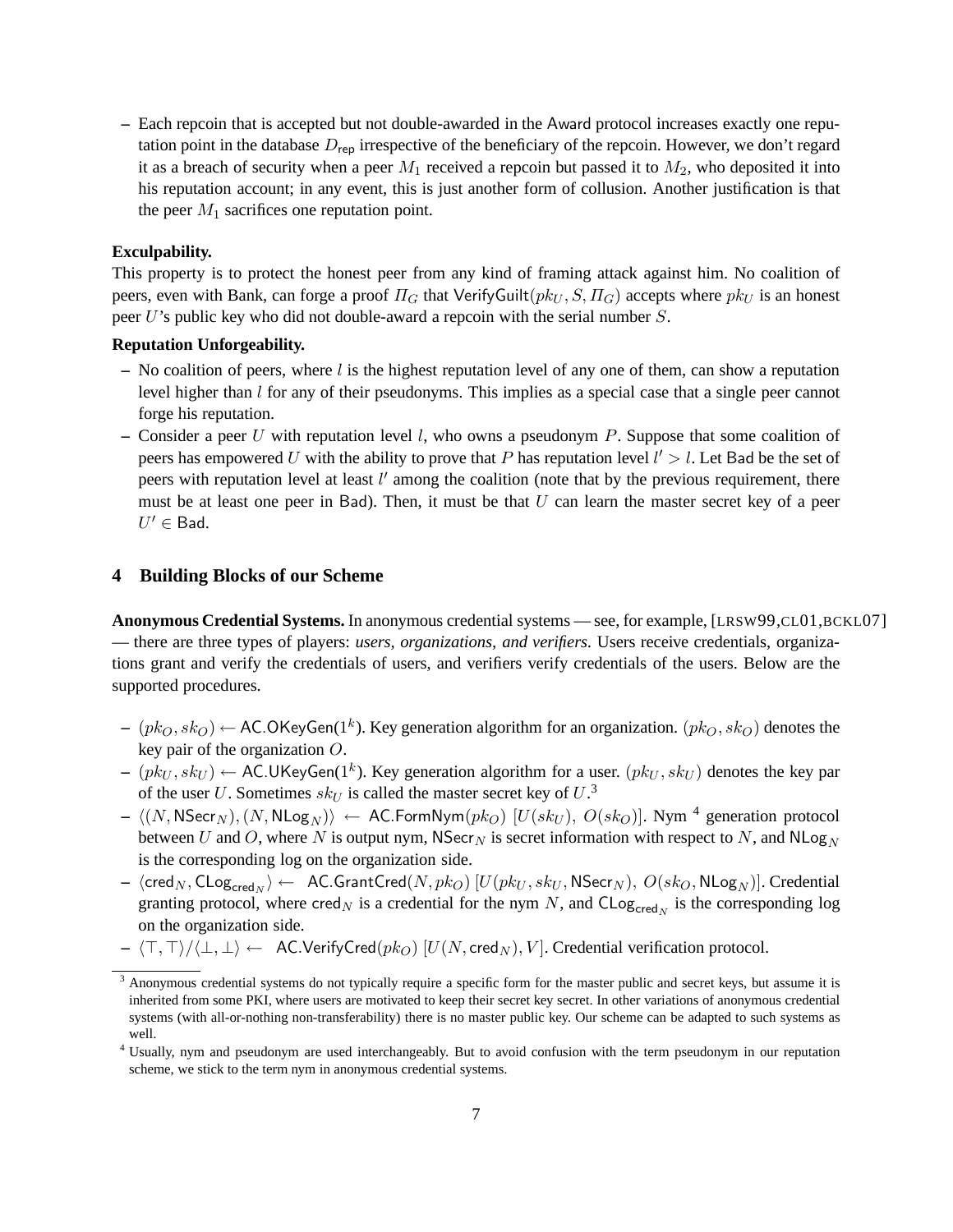**–** Each repcoin that is accepted but not double-awarded in the Award protocol increases exactly one reputation point in the database  $D_{\text{rep}}$  irrespective of the beneficiary of the repcoin. However, we don't regard it as a breach of security when a peer  $M_1$  received a repcoin but passed it to  $M_2$ , who deposited it into his reputation account; in any event, this is just another form of collusion. Another justification is that the peer  $M_1$  sacrifices one reputation point.

#### **Exculpability.**

This property is to protect the honest peer from any kind of framing attack against him. No coalition of peers, even with Bank, can forge a proof  $\Pi_G$  that VerifyGuilt $(\mathit{pk}_U, S, \Pi_G)$  accepts where  $\mathit{pk}_U$  is an honest peer U's public key who did not double-award a repcoin with the serial number S.

#### **Reputation Unforgeability.**

- **–** No coalition of peers, where l is the highest reputation level of any one of them, can show a reputation level higher than *l* for any of their pseudonyms. This implies as a special case that a single peer cannot forge his reputation.
- **–** Consider a peer U with reputation level l, who owns a pseudonym P. Suppose that some coalition of peers has empowered U with the ability to prove that P has reputation level  $l' > l$ . Let Bad be the set of peers with reputation level at least  $l'$  among the coalition (note that by the previous requirement, there must be at least one peer in Bad). Then, it must be that  $U$  can learn the master secret key of a peer  $U' \in$  Bad.

# **4 Building Blocks of our Scheme**

**Anonymous Credential Systems.** In anonymous credential systems — see, for example, [LRSW99,CL01,BCKL07] — there are three types of players: *users, organizations, and verifiers*. Users receive credentials, organizations grant and verify the credentials of users, and verifiers verify credentials of the users. Below are the supported procedures.

- $(pk<sub>O</sub>, sk<sub>O</sub>) ← AC.OKeyGen(1<sup>k</sup>)$ . Key generation algorithm for an organization.  $(pk<sub>O</sub>, sk<sub>O</sub>)$  denotes the key pair of the organization O.
- $(pk_U, sk_U) ← AC.UKeyGen(1<sup>k</sup>)$ . Key generation algorithm for a user.  $(pk_U, sk_U)$  denotes the key par of the user U. Sometimes  $sk_U$  is called the master secret key of  $U^3$ .
- $\langle (N, N\text{Sec}_{N}), (N, N\text{Log}_{N}) \rangle \leftarrow AC$ .FormNym $(pk_{O})$  [ $U(sk_{U})$ ,  $O(sk_{O})$ ]. Nym <sup>4</sup> generation protocol between U and O, where N is output nym,  $N \text{Sec}_{N}$  is secret information with respect to N, and  $N \text{Log}_{N}$ is the corresponding log on the organization side.
- $\langle$ cred $_N,$  CLog $_{\mathrm{cred}_N} \rangle$   $\leftarrow$   $\,$  AC.GrantCred $(N, pk_O)$   $[U(pk_U, sk_U, \mathsf{NSecr}_N),\, O(sk_O, \mathsf{NLog}_N)]$ . Credential granting protocol, where cred<sub>N</sub> is a credential for the nym N, and  $\text{CLog}_{\text{cred}_N}$  is the corresponding log on the organization side.

 $\langle$  ⊤, ⊤ $\rangle$  $\langle$  ⊥, ⊥ $\rangle$  ← AC.VerifyCred(pk<sub>O</sub>) [U(N, cred<sub>N</sub>), V]. Credential verification protocol.

<sup>&</sup>lt;sup>3</sup> Anonymous credential systems do not typically require a specific form for the master public and secret keys, but assume it is inherited from some PKI, where users are motivated to keep their secret key secret. In other variations of anonymous credential systems (with all-or-nothing non-transferability) there is no master public key. Our scheme can be adapted to such systems as well.

<sup>4</sup> Usually, nym and pseudonym are used interchangeably. But to avoid confusion with the term pseudonym in our reputation scheme, we stick to the term nym in anonymous credential systems.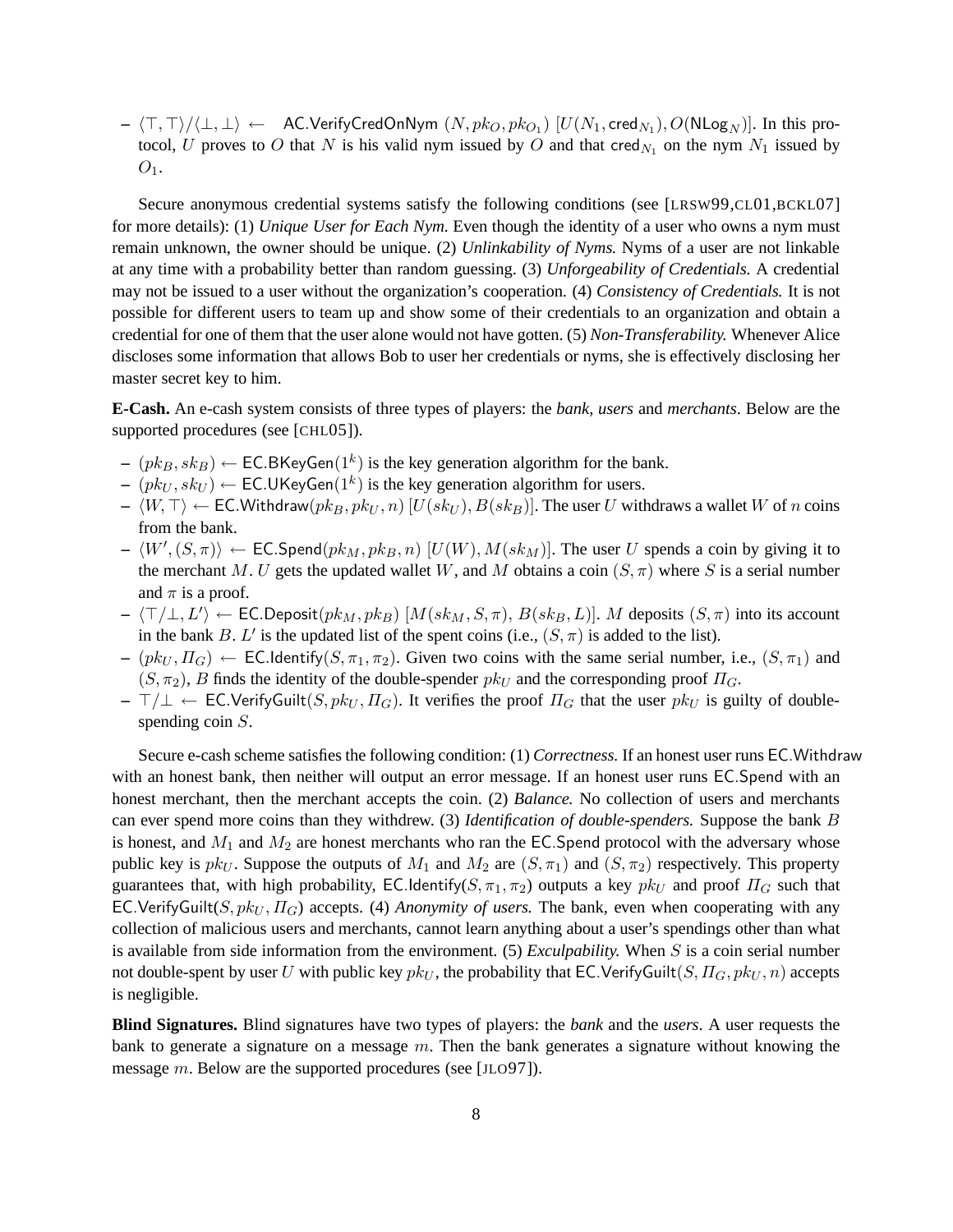$\langle \top, \top \rangle / \langle \bot, \bot \rangle$   $\leftarrow$   $-$  AC.VerifyCredOnNym  $(N, pk_O, pk_{O_1})$   $[U(N_1, \mathsf{cred}_{N_1}), O(\mathsf{NLog}_N)]$ . In this protocol, U proves to O that N is his valid nym issued by O and that cred $_{N_1}$  on the nym  $N_1$  issued by  $O_1$ .

Secure anonymous credential systems satisfy the following conditions (see [LRSW99,CL01,BCKL07] for more details): (1) *Unique User for Each Nym.* Even though the identity of a user who owns a nym must remain unknown, the owner should be unique. (2) *Unlinkability of Nyms.* Nyms of a user are not linkable at any time with a probability better than random guessing. (3) *Unforgeability of Credentials.* A credential may not be issued to a user without the organization's cooperation. (4) *Consistency of Credentials.* It is not possible for different users to team up and show some of their credentials to an organization and obtain a credential for one of them that the user alone would not have gotten. (5) *Non-Transferability.* Whenever Alice discloses some information that allows Bob to user her credentials or nyms, she is effectively disclosing her master secret key to him.

**E-Cash.** An e-cash system consists of three types of players: the *bank*, *users* and *merchants*. Below are the supported procedures (see [CHL05]).

- $(pk_B, sk_B) \leftarrow$  EC.BKeyGen(1<sup>k</sup>) is the key generation algorithm for the bank.
- $(pk_U, sk_U) \leftarrow$  **EC.UKeyGen** $(1^k)$  is the key generation algorithm for users.
- $\langle W, \top \rangle$  ← EC.Withdraw( $pk_B, pk_U, n$ ) [ $U(sk_U)$ ,  $B(sk_B)$ ]. The user U withdraws a wallet W of n coins from the bank.
- $\langle W',(S,\pi) \rangle$  ← EC.Spend $(pk_M, pk_B, n)$  [U(W),  $M(sk_M)$ ]. The user U spends a coin by giving it to the merchant M. U gets the updated wallet W, and M obtains a coin  $(S, \pi)$  where S is a serial number and  $\pi$  is a proof.
- $\langle \top/\bot, L'\rangle$  ← EC.Deposit $(pk_M, pk_B)$   $[M(sk_M, S, π), B(sk_B, L)]$ . *M* deposits  $(S, π)$  into its account in the bank B. L' is the updated list of the spent coins (i.e.,  $(S, \pi)$  is added to the list).
- $-(pk_U, \Pi_G) \leftarrow$  EC.Identify(S,  $\pi_1, \pi_2$ ). Given two coins with the same serial number, i.e.,  $(S, \pi_1)$  and  $(S, \pi_2)$ , B finds the identity of the double-spender  $pk_U$  and the corresponding proof  $\Pi_G$ .
- $-$  ⊤/⊥ ← EC.VerifyGuilt(S, pk<sub>U</sub>,  $\Pi$ <sub>G</sub>). It verifies the proof  $\Pi$ <sub>G</sub> that the user pk<sub>U</sub> is guilty of doublespending coin S.

Secure e-cash scheme satisfies the following condition: (1) *Correctness.* If an honest user runs EC.Withdraw with an honest bank, then neither will output an error message. If an honest user runs EC.Spend with an honest merchant, then the merchant accepts the coin. (2) *Balance.* No collection of users and merchants can ever spend more coins than they withdrew. (3) *Identification of double-spenders.* Suppose the bank B is honest, and  $M_1$  and  $M_2$  are honest merchants who ran the EC.Spend protocol with the adversary whose public key is  $pk_U$ . Suppose the outputs of  $M_1$  and  $M_2$  are  $(S, \pi_1)$  and  $(S, \pi_2)$  respectively. This property guarantees that, with high probability, EC.Identify( $S$ ,  $\pi_1$ ,  $\pi_2$ ) outputs a key  $pk_U$  and proof  $\Pi_G$  such that EC.VerifyGuilt(S,  $pk_U$ ,  $\Pi_G$ ) accepts. (4) *Anonymity of users*. The bank, even when cooperating with any collection of malicious users and merchants, cannot learn anything about a user's spendings other than what is available from side information from the environment. (5) *Exculpability.* When S is a coin serial number not double-spent by user U with public key  $pk_U$ , the probability that EC.VerifyGuilt $(S, \Pi_G, pk_U, n)$  accepts is negligible.

**Blind Signatures.** Blind signatures have two types of players: the *bank* and the *users*. A user requests the bank to generate a signature on a message  $m$ . Then the bank generates a signature without knowing the message m. Below are the supported procedures (see [JLO97]).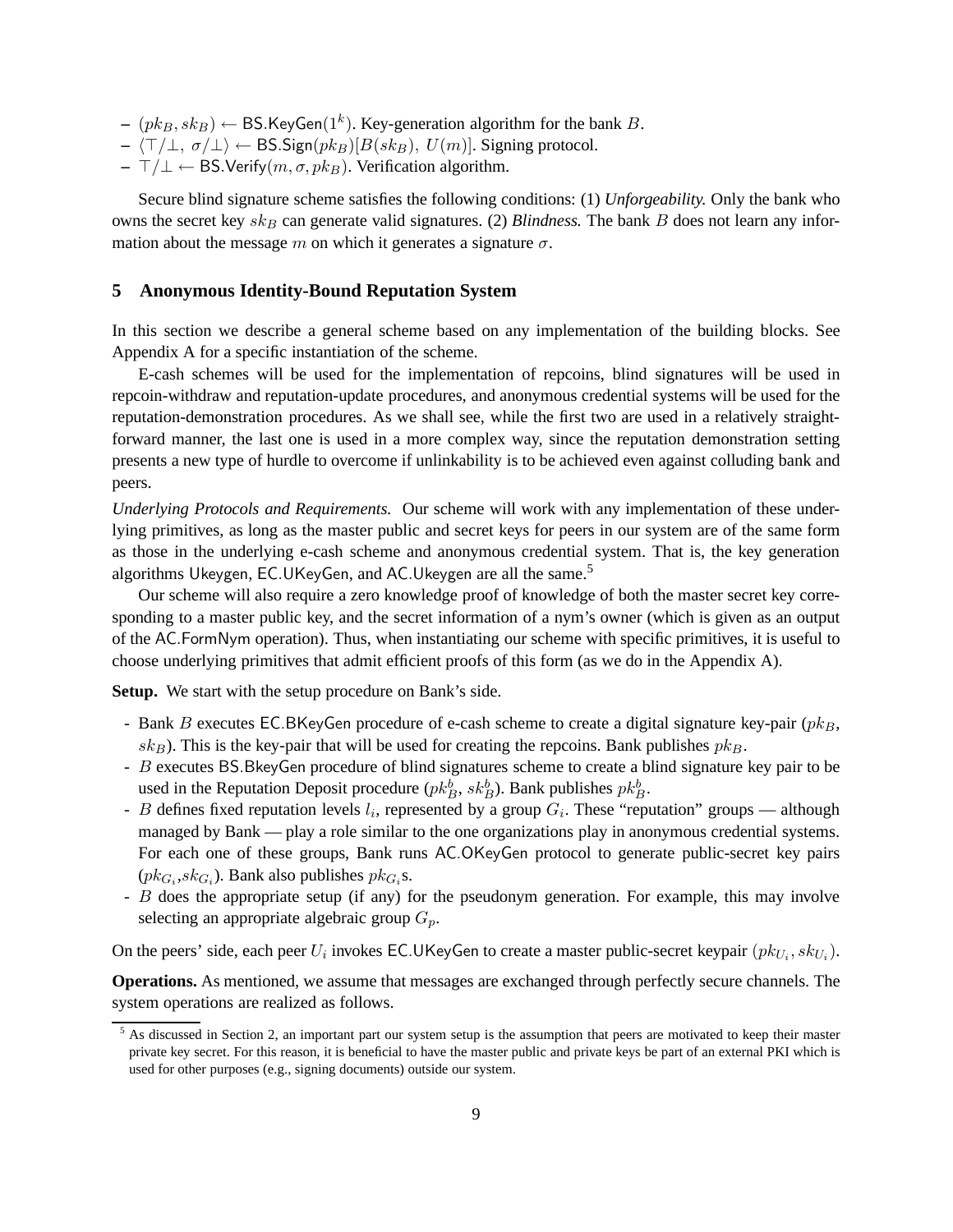- $(pk_B, sk_B) \leftarrow$  BS.KeyGen(1<sup>k</sup>). Key-generation algorithm for the bank *B*.
- $\langle \top/\bot, \sigma/\bot \rangle$  ← BS.Sign(*pk<sub>B</sub>*)[*B*(*sk<sub>B</sub>*), *U*(*m*)]. Signing protocol.
- **–**  $\top/\bot$  ← BS. Verify $(m, \sigma, pk_B)$ . Verification algorithm.

Secure blind signature scheme satisfies the following conditions: (1) *Unforgeability.* Only the bank who owns the secret key  $s k_B$  can generate valid signatures. (2) *Blindness*. The bank B does not learn any information about the message m on which it generates a signature  $\sigma$ .

#### **5 Anonymous Identity-Bound Reputation System**

In this section we describe a general scheme based on any implementation of the building blocks. See Appendix A for a specific instantiation of the scheme.

E-cash schemes will be used for the implementation of repcoins, blind signatures will be used in repcoin-withdraw and reputation-update procedures, and anonymous credential systems will be used for the reputation-demonstration procedures. As we shall see, while the first two are used in a relatively straightforward manner, the last one is used in a more complex way, since the reputation demonstration setting presents a new type of hurdle to overcome if unlinkability is to be achieved even against colluding bank and peers.

*Underlying Protocols and Requirements.* Our scheme will work with any implementation of these underlying primitives, as long as the master public and secret keys for peers in our system are of the same form as those in the underlying e-cash scheme and anonymous credential system. That is, the key generation algorithms Ukeygen, EC.UKeyGen, and AC.Ukeygen are all the same.<sup>5</sup>

Our scheme will also require a zero knowledge proof of knowledge of both the master secret key corresponding to a master public key, and the secret information of a nym's owner (which is given as an output of the AC.FormNym operation). Thus, when instantiating our scheme with specific primitives, it is useful to choose underlying primitives that admit efficient proofs of this form (as we do in the Appendix A).

**Setup.** We start with the setup procedure on Bank's side.

- Bank B executes EC.BKeyGen procedure of e-cash scheme to create a digital signature key-pair  $(pk_B, p_k)$  $sk_B$ ). This is the key-pair that will be used for creating the repcoins. Bank publishes  $pk_B$ .
- B executes BS.BkeyGen procedure of blind signatures scheme to create a blind signature key pair to be used in the Reputation Deposit procedure  $(pk_B^b, sk_B^b)$ . Bank publishes  $pk_B^b$ .
- B defines fixed reputation levels  $l_i$ , represented by a group  $G_i$ . These "reputation" groups although managed by Bank — play a role similar to the one organizations play in anonymous credential systems. For each one of these groups, Bank runs AC.OKeyGen protocol to generate public-secret key pairs  $(pk_{G_i}, sk_{G_i})$ . Bank also publishes  $pk_{G_i}$ s.
- B does the appropriate setup (if any) for the pseudonym generation. For example, this may involve selecting an appropriate algebraic group  $G_p$ .

On the peers' side, each peer  $U_i$  invokes EC.UKeyGen to create a master public-secret keypair  $(pk_{U_i}, sk_{U_i})$ .

**Operations.** As mentioned, we assume that messages are exchanged through perfectly secure channels. The system operations are realized as follows.

 $<sup>5</sup>$  As discussed in Section 2, an important part our system setup is the assumption that peers are motivated to keep their master</sup> private key secret. For this reason, it is beneficial to have the master public and private keys be part of an external PKI which is used for other purposes (e.g., signing documents) outside our system.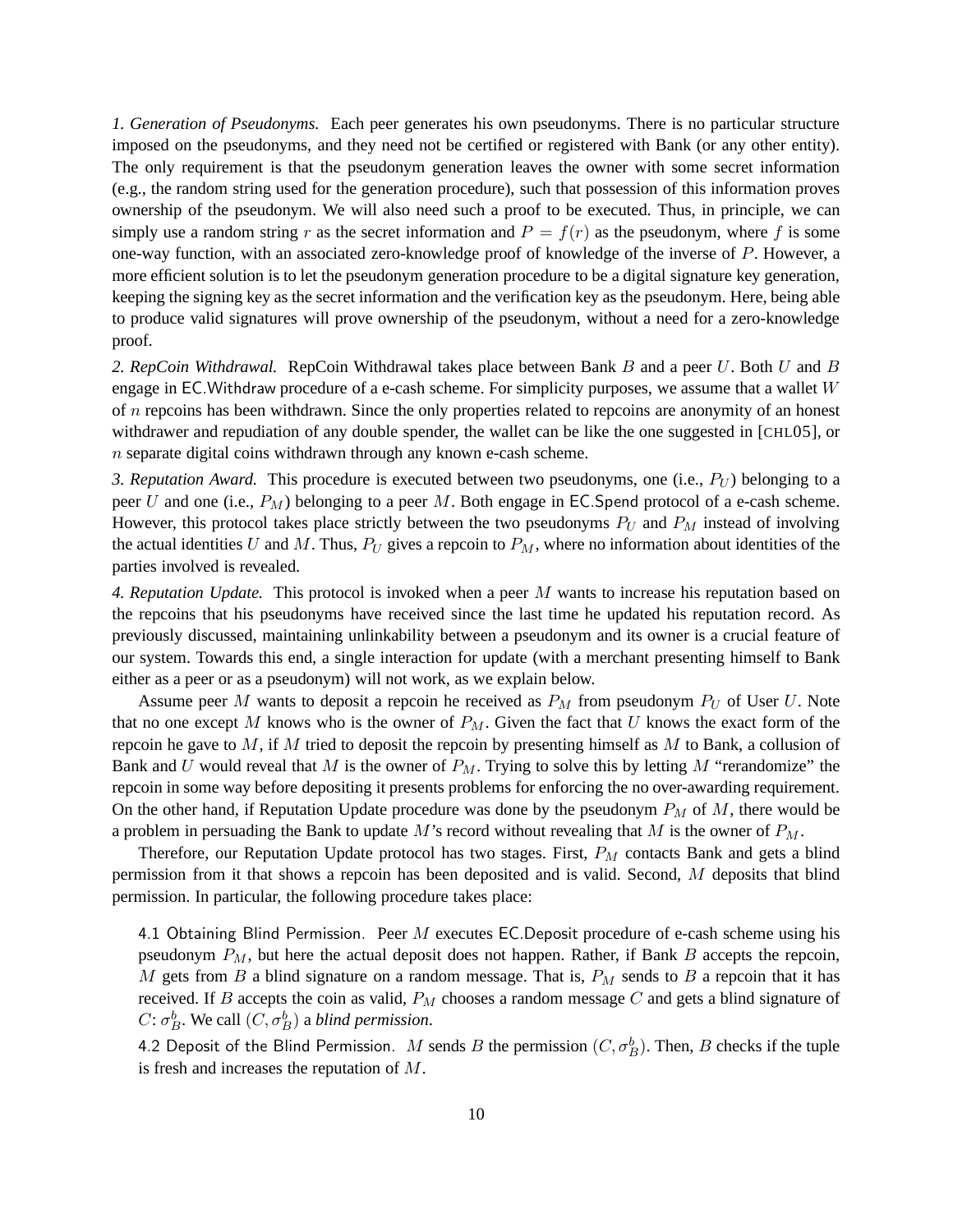*1. Generation of Pseudonyms.* Each peer generates his own pseudonyms. There is no particular structure imposed on the pseudonyms, and they need not be certified or registered with Bank (or any other entity). The only requirement is that the pseudonym generation leaves the owner with some secret information (e.g., the random string used for the generation procedure), such that possession of this information proves ownership of the pseudonym. We will also need such a proof to be executed. Thus, in principle, we can simply use a random string r as the secret information and  $P = f(r)$  as the pseudonym, where f is some one-way function, with an associated zero-knowledge proof of knowledge of the inverse of P. However, a more efficient solution is to let the pseudonym generation procedure to be a digital signature key generation, keeping the signing key as the secret information and the verification key as the pseudonym. Here, being able to produce valid signatures will prove ownership of the pseudonym, without a need for a zero-knowledge proof.

*2. RepCoin Withdrawal.* RepCoin Withdrawal takes place between Bank B and a peer U. Both U and B engage in EC. Withdraw procedure of a e-cash scheme. For simplicity purposes, we assume that a wallet  $W$ of n repcoins has been withdrawn. Since the only properties related to repcoins are anonymity of an honest withdrawer and repudiation of any double spender, the wallet can be like the one suggested in [CHL05], or n separate digital coins withdrawn through any known e-cash scheme.

*3. Reputation Award.* This procedure is executed between two pseudonyms, one (i.e.,  $P_U$ ) belonging to a peer U and one (i.e.,  $P_M$ ) belonging to a peer M. Both engage in EC. Spend protocol of a e-cash scheme. However, this protocol takes place strictly between the two pseudonyms  $P_U$  and  $P_M$  instead of involving the actual identities U and M. Thus,  $P_U$  gives a repcoin to  $P_M$ , where no information about identities of the parties involved is revealed.

*4. Reputation Update.* This protocol is invoked when a peer M wants to increase his reputation based on the repcoins that his pseudonyms have received since the last time he updated his reputation record. As previously discussed, maintaining unlinkability between a pseudonym and its owner is a crucial feature of our system. Towards this end, a single interaction for update (with a merchant presenting himself to Bank either as a peer or as a pseudonym) will not work, as we explain below.

Assume peer M wants to deposit a repcoin he received as  $P_M$  from pseudonym  $P_U$  of User U. Note that no one except M knows who is the owner of  $P_M$ . Given the fact that U knows the exact form of the repcoin he gave to  $M$ , if M tried to deposit the repcoin by presenting himself as  $M$  to Bank, a collusion of Bank and U would reveal that M is the owner of  $P_M$ . Trying to solve this by letting M "rerandomize" the repcoin in some way before depositing it presents problems for enforcing the no over-awarding requirement. On the other hand, if Reputation Update procedure was done by the pseudonym  $P_M$  of M, there would be a problem in persuading the Bank to update M's record without revealing that M is the owner of  $P_M$ .

Therefore, our Reputation Update protocol has two stages. First,  $P_M$  contacts Bank and gets a blind permission from it that shows a repcoin has been deposited and is valid. Second, M deposits that blind permission. In particular, the following procedure takes place:

4.1 Obtaining Blind Permission. Peer M executes EC.Deposit procedure of e-cash scheme using his pseudonym  $P_M$ , but here the actual deposit does not happen. Rather, if Bank B accepts the repcoin, M gets from B a blind signature on a random message. That is,  $P_M$  sends to B a repcoin that it has received. If B accepts the coin as valid,  $P_M$  chooses a random message C and gets a blind signature of  $C$ :  $\sigma_B^b$ . We call  $(C, \sigma_B^b)$  a *blind permission*.

4.2 Deposit of the Blind Permission. M sends B the permission  $(C, \sigma_B^b)$ . Then, B checks if the tuple is fresh and increases the reputation of  $M$ .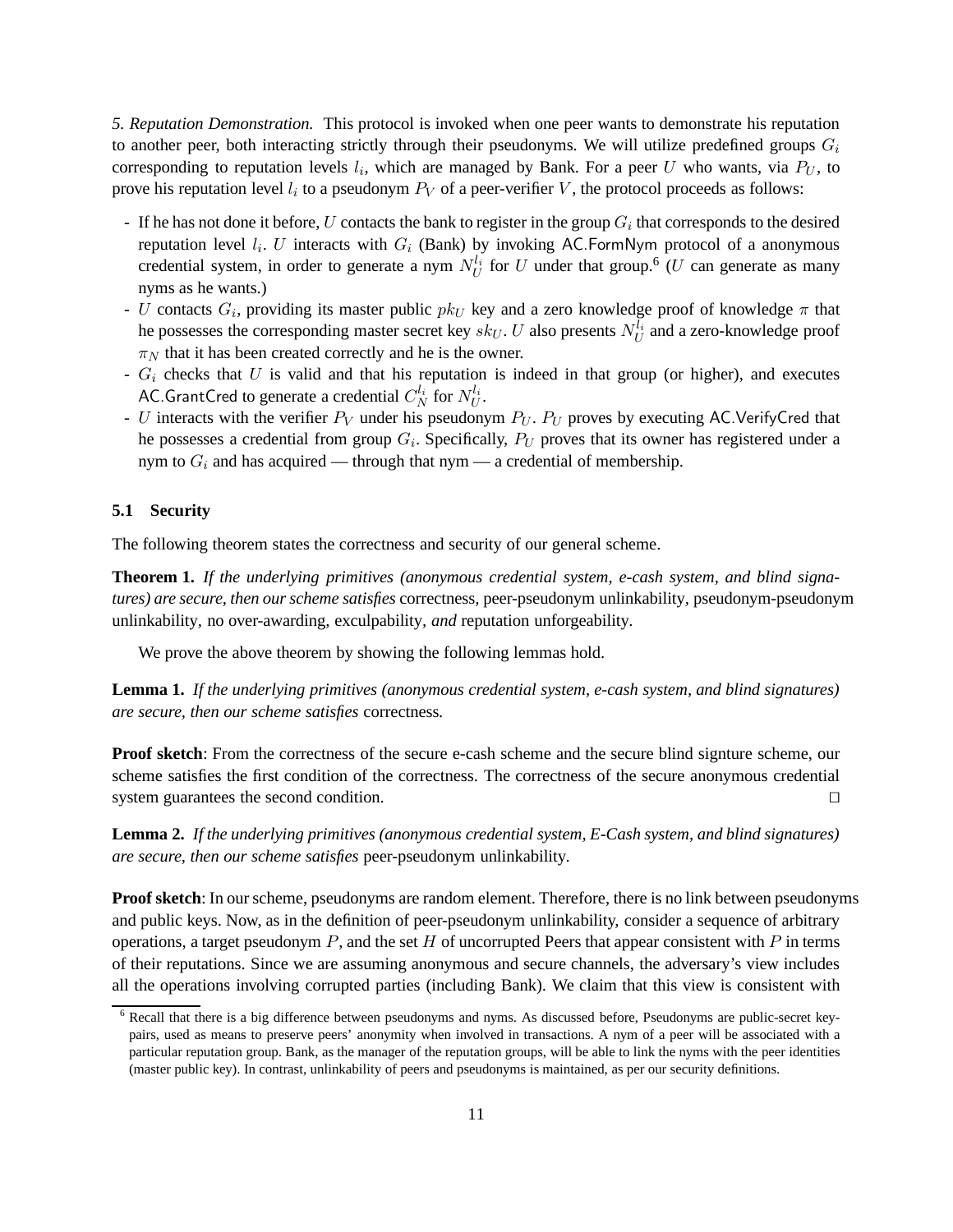*5. Reputation Demonstration.* This protocol is invoked when one peer wants to demonstrate his reputation to another peer, both interacting strictly through their pseudonyms. We will utilize predefined groups  $G_i$ corresponding to reputation levels  $l_i$ , which are managed by Bank. For a peer U who wants, via  $P_U$ , to prove his reputation level  $l_i$  to a pseudonym  $P_V$  of a peer-verifier V, the protocol proceeds as follows:

- If he has not done it before, U contacts the bank to register in the group  $G_i$  that corresponds to the desired reputation level  $l_i$ . U interacts with  $G_i$  (Bank) by invoking AC.FormNym protocol of a anonymous credential system, in order to generate a nym  $N_U^{l_i}$  $U_U^{l_i}$  for U under that group.<sup>6</sup> (U can generate as many nyms as he wants.)
- U contacts  $G_i$ , providing its master public  $pk_U$  key and a zero knowledge proof of knowledge  $\pi$  that he possesses the corresponding master secret key  $sk_U$ . U also presents  $N_U^{l_i}$  $U_U^{l_i}$  and a zero-knowledge proof  $\pi_N$  that it has been created correctly and he is the owner.
- $-G<sub>i</sub>$  checks that U is valid and that his reputation is indeed in that group (or higher), and executes AC.GrantCred to generate a credential  $C_N^{l_i}$  $\frac{d_i}{N}$  for  $N_U^{l_i}$  $_U^{\iota_i}.$
- U interacts with the verifier  $P_V$  under his pseudonym  $P_U$ .  $P_U$  proves by executing AC.VerifyCred that he possesses a credential from group  $G_i$ . Specifically,  $P_U$  proves that its owner has registered under a nym to  $G_i$  and has acquired — through that nym — a credential of membership.

### **5.1 Security**

The following theorem states the correctness and security of our general scheme.

**Theorem 1.** *If the underlying primitives (anonymous credential system, e-cash system, and blind signatures) are secure, then our scheme satisfies* correctness*,* peer-pseudonym unlinkability*,* pseudonym-pseudonym unlinkability*,* no over-awarding*,* exculpability*, and* reputation unforgeability*.*

We prove the above theorem by showing the following lemmas hold.

**Lemma 1.** *If the underlying primitives (anonymous credential system, e-cash system, and blind signatures) are secure, then our scheme satisfies* correctness*.*

**Proof sketch**: From the correctness of the secure e-cash scheme and the secure blind signture scheme, our scheme satisfies the first condition of the correctness. The correctness of the secure anonymous credential system guarantees the second condition.  $\Box$ 

**Lemma 2.** *If the underlying primitives (anonymous credential system, E-Cash system, and blind signatures) are secure, then our scheme satisfies* peer-pseudonym unlinkability*.*

**Proof sketch**: In our scheme, pseudonyms are random element. Therefore, there is no link between pseudonyms and public keys. Now, as in the definition of peer-pseudonym unlinkability, consider a sequence of arbitrary operations, a target pseudonym  $P$ , and the set  $H$  of uncorrupted Peers that appear consistent with  $P$  in terms of their reputations. Since we are assuming anonymous and secure channels, the adversary's view includes all the operations involving corrupted parties (including Bank). We claim that this view is consistent with

<sup>6</sup> Recall that there is a big difference between pseudonyms and nyms. As discussed before, Pseudonyms are public-secret keypairs, used as means to preserve peers' anonymity when involved in transactions. A nym of a peer will be associated with a particular reputation group. Bank, as the manager of the reputation groups, will be able to link the nyms with the peer identities (master public key). In contrast, unlinkability of peers and pseudonyms is maintained, as per our security definitions.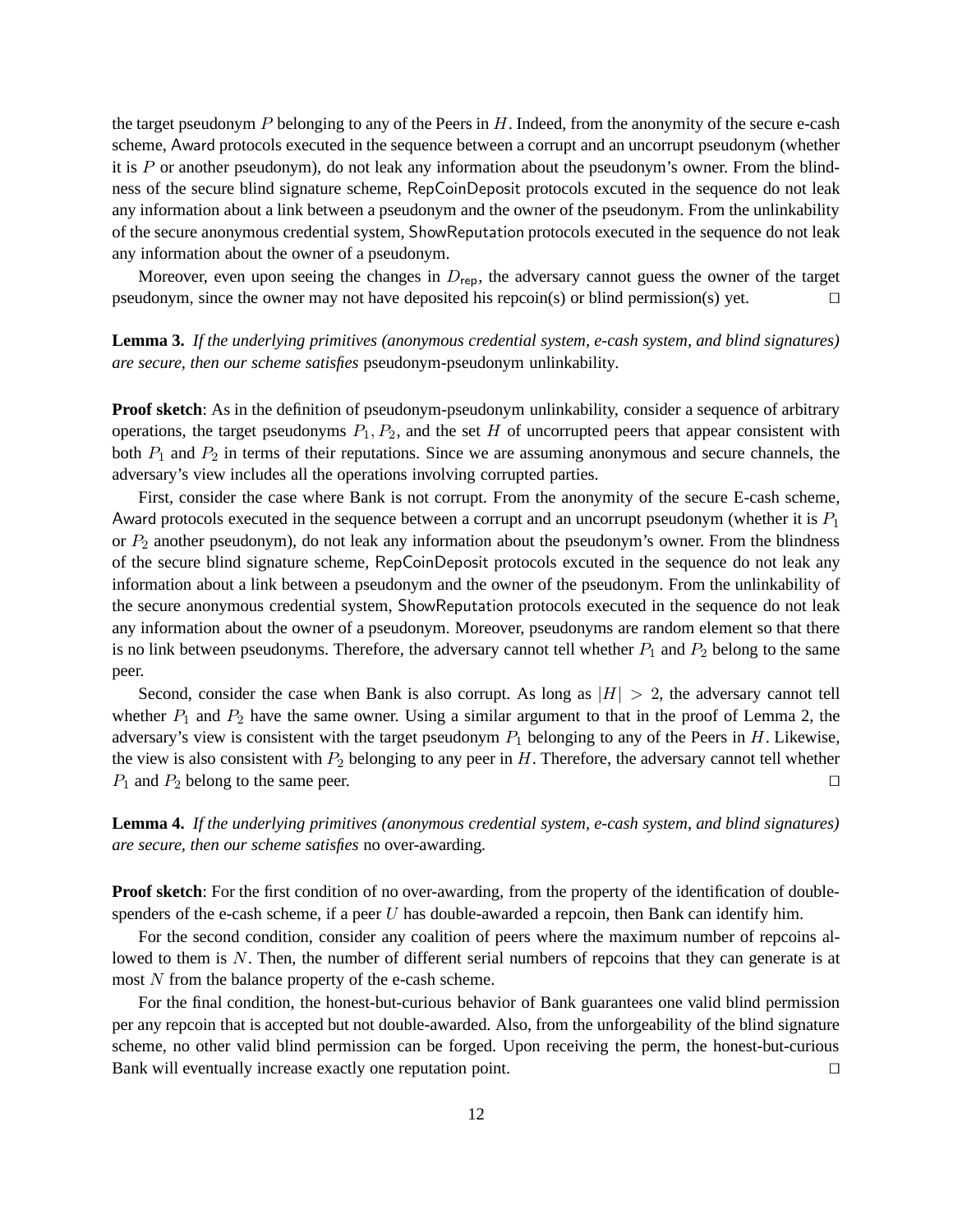the target pseudonym  $P$  belonging to any of the Peers in  $H$ . Indeed, from the anonymity of the secure e-cash scheme, Award protocols executed in the sequence between a corrupt and an uncorrupt pseudonym (whether it is P or another pseudonym), do not leak any information about the pseudonym's owner. From the blindness of the secure blind signature scheme, RepCoinDeposit protocols excuted in the sequence do not leak any information about a link between a pseudonym and the owner of the pseudonym. From the unlinkability of the secure anonymous credential system, ShowReputation protocols executed in the sequence do not leak any information about the owner of a pseudonym.

Moreover, even upon seeing the changes in  $D_{\text{rep}}$ , the adversary cannot guess the owner of the target pseudonym, since the owner may not have deposited his repcoin(s) or blind permission(s) yet.  $\square$ 

**Lemma 3.** *If the underlying primitives (anonymous credential system, e-cash system, and blind signatures) are secure, then our scheme satisfies* pseudonym-pseudonym unlinkability*.*

**Proof sketch**: As in the definition of pseudonym-pseudonym unlinkability, consider a sequence of arbitrary operations, the target pseudonyms  $P_1, P_2$ , and the set H of uncorrupted peers that appear consistent with both  $P_1$  and  $P_2$  in terms of their reputations. Since we are assuming anonymous and secure channels, the adversary's view includes all the operations involving corrupted parties.

First, consider the case where Bank is not corrupt. From the anonymity of the secure E-cash scheme, Award protocols executed in the sequence between a corrupt and an uncorrupt pseudonym (whether it is  $P_1$ ) or  $P_2$  another pseudonym), do not leak any information about the pseudonym's owner. From the blindness of the secure blind signature scheme, RepCoinDeposit protocols excuted in the sequence do not leak any information about a link between a pseudonym and the owner of the pseudonym. From the unlinkability of the secure anonymous credential system, ShowReputation protocols executed in the sequence do not leak any information about the owner of a pseudonym. Moreover, pseudonyms are random element so that there is no link between pseudonyms. Therefore, the adversary cannot tell whether  $P_1$  and  $P_2$  belong to the same peer.

Second, consider the case when Bank is also corrupt. As long as  $|H| > 2$ , the adversary cannot tell whether  $P_1$  and  $P_2$  have the same owner. Using a similar argument to that in the proof of Lemma 2, the adversary's view is consistent with the target pseudonym  $P_1$  belonging to any of the Peers in H. Likewise, the view is also consistent with  $P_2$  belonging to any peer in H. Therefore, the adversary cannot tell whether  $P_1$  and  $P_2$  belong to the same peer.  $\Box$ 

**Lemma 4.** *If the underlying primitives (anonymous credential system, e-cash system, and blind signatures) are secure, then our scheme satisfies* no over-awarding*.*

**Proof sketch**: For the first condition of no over-awarding, from the property of the identification of doublespenders of the e-cash scheme, if a peer  $U$  has double-awarded a repcoin, then Bank can identify him.

For the second condition, consider any coalition of peers where the maximum number of repcoins allowed to them is N. Then, the number of different serial numbers of repcoins that they can generate is at most N from the balance property of the e-cash scheme.

For the final condition, the honest-but-curious behavior of Bank guarantees one valid blind permission per any repcoin that is accepted but not double-awarded. Also, from the unforgeability of the blind signature scheme, no other valid blind permission can be forged. Upon receiving the perm, the honest-but-curious Bank will eventually increase exactly one reputation point.  $\Box$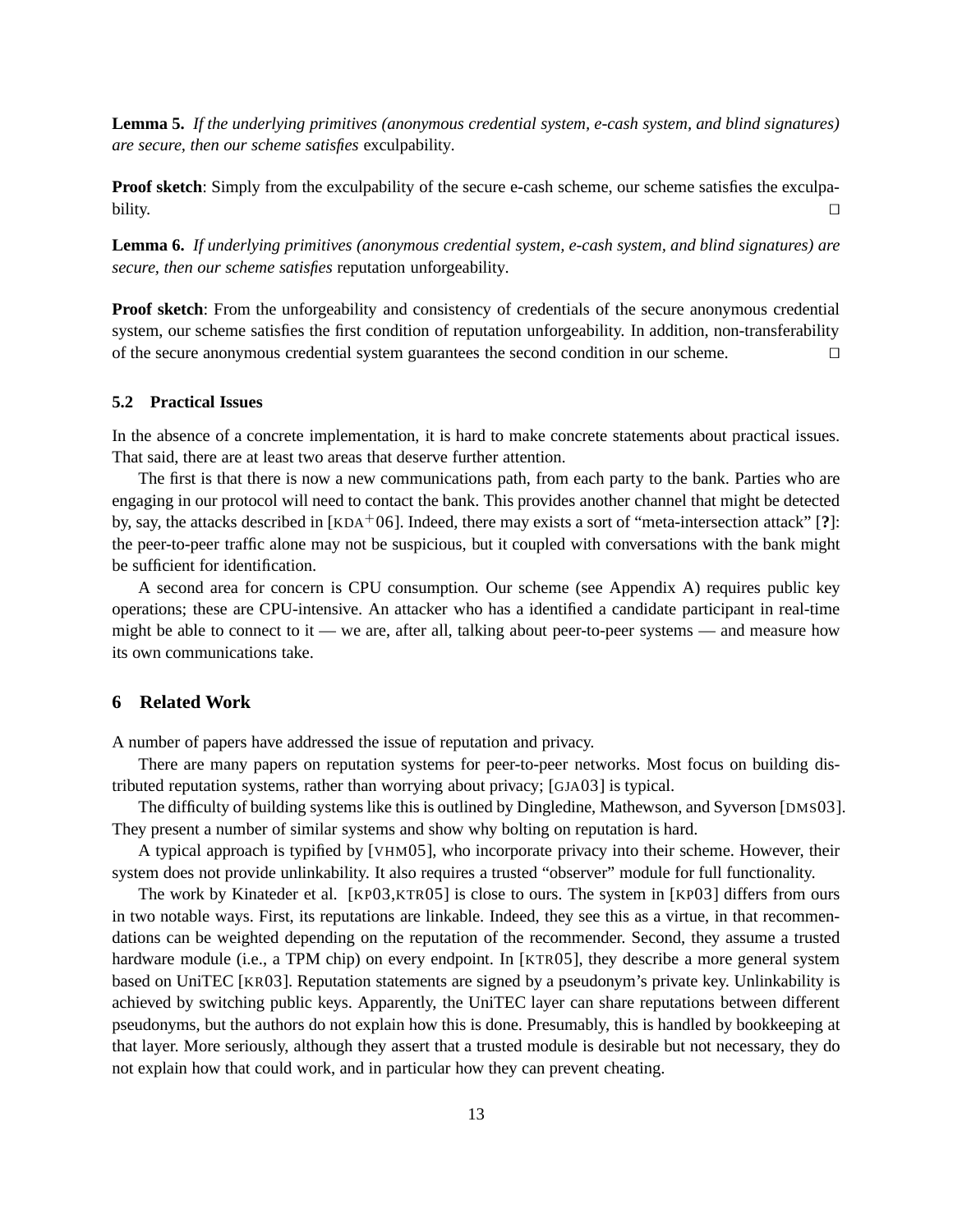**Lemma 5.** *If the underlying primitives (anonymous credential system, e-cash system, and blind signatures) are secure, then our scheme satisfies* exculpability*.*

**Proof sketch**: Simply from the exculpability of the secure e-cash scheme, our scheme satisfies the exculpability.  $\qquad \qquad \Box$ 

**Lemma 6.** *If underlying primitives (anonymous credential system, e-cash system, and blind signatures) are secure, then our scheme satisfies* reputation unforgeability*.*

**Proof sketch**: From the unforgeability and consistency of credentials of the secure anonymous credential system, our scheme satisfies the first condition of reputation unforgeability. In addition, non-transferability of the secure anonymous credential system guarantees the second condition in our scheme.  $\Box$ 

#### **5.2 Practical Issues**

In the absence of a concrete implementation, it is hard to make concrete statements about practical issues. That said, there are at least two areas that deserve further attention.

The first is that there is now a new communications path, from each party to the bank. Parties who are engaging in our protocol will need to contact the bank. This provides another channel that might be detected by, say, the attacks described in [KDA+06]. Indeed, there may exists a sort of "meta-intersection attack" [**?**]: the peer-to-peer traffic alone may not be suspicious, but it coupled with conversations with the bank might be sufficient for identification.

A second area for concern is CPU consumption. Our scheme (see Appendix A) requires public key operations; these are CPU-intensive. An attacker who has a identified a candidate participant in real-time might be able to connect to it — we are, after all, talking about peer-to-peer systems — and measure how its own communications take.

# **6 Related Work**

A number of papers have addressed the issue of reputation and privacy.

There are many papers on reputation systems for peer-to-peer networks. Most focus on building distributed reputation systems, rather than worrying about privacy; [GJA03] is typical.

The difficulty of building systems like this is outlined by Dingledine, Mathewson, and Syverson [DMS03]. They present a number of similar systems and show why bolting on reputation is hard.

A typical approach is typified by [VHM05], who incorporate privacy into their scheme. However, their system does not provide unlinkability. It also requires a trusted "observer" module for full functionality.

The work by Kinateder et al. [KP03,KTR05] is close to ours. The system in [KP03] differs from ours in two notable ways. First, its reputations are linkable. Indeed, they see this as a virtue, in that recommendations can be weighted depending on the reputation of the recommender. Second, they assume a trusted hardware module (i.e., a TPM chip) on every endpoint. In [KTR05], they describe a more general system based on UniTEC [KR03]. Reputation statements are signed by a pseudonym's private key. Unlinkability is achieved by switching public keys. Apparently, the UniTEC layer can share reputations between different pseudonyms, but the authors do not explain how this is done. Presumably, this is handled by bookkeeping at that layer. More seriously, although they assert that a trusted module is desirable but not necessary, they do not explain how that could work, and in particular how they can prevent cheating.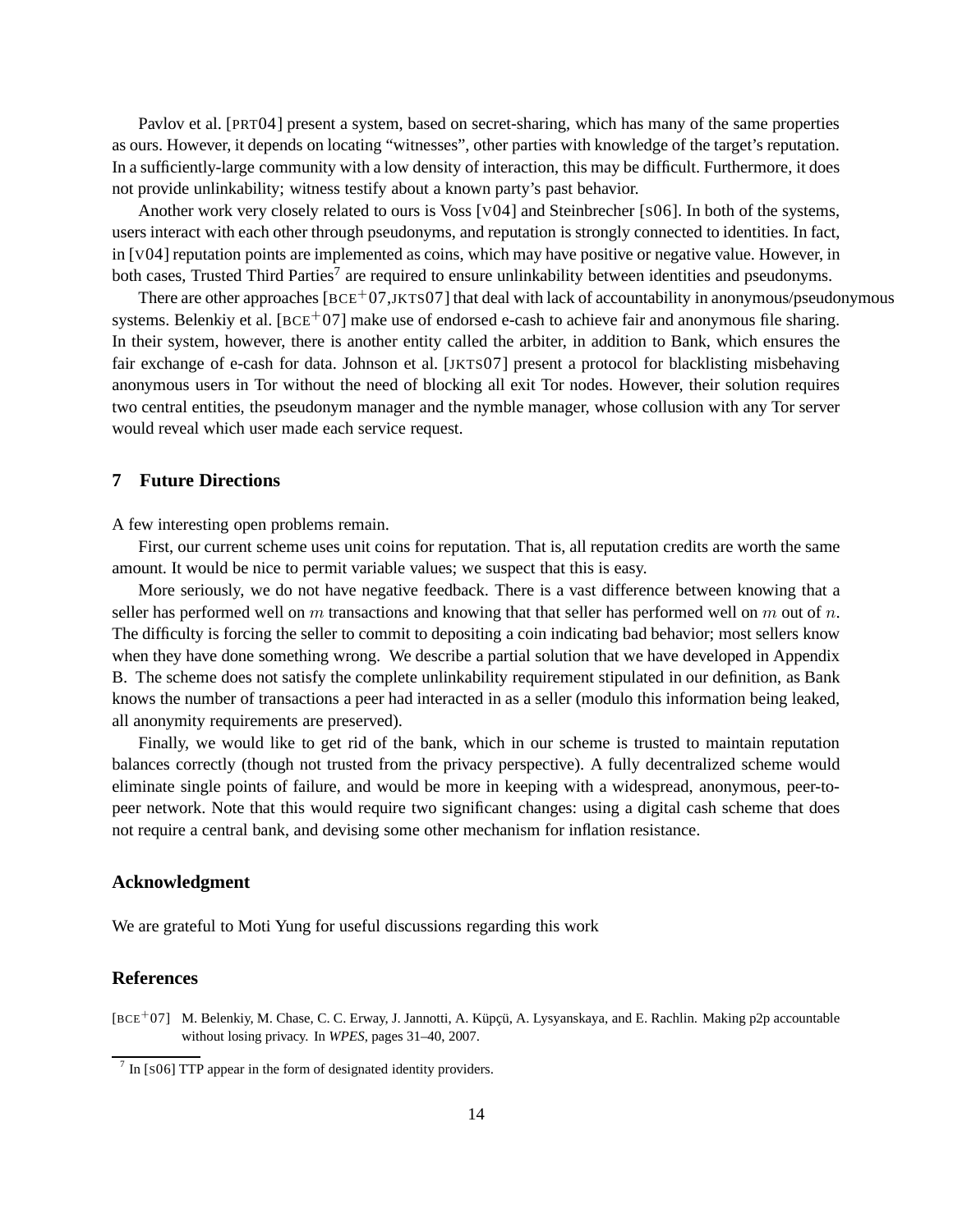Pavlov et al. [PRT04] present a system, based on secret-sharing, which has many of the same properties as ours. However, it depends on locating "witnesses", other parties with knowledge of the target's reputation. In a sufficiently-large community with a low density of interaction, this may be difficult. Furthermore, it does not provide unlinkability; witness testify about a known party's past behavior.

Another work very closely related to ours is Voss [V04] and Steinbrecher [S06]. In both of the systems, users interact with each other through pseudonyms, and reputation is strongly connected to identities. In fact, in [V04] reputation points are implemented as coins, which may have positive or negative value. However, in both cases, Trusted Third Parties<sup>7</sup> are required to ensure unlinkability between identities and pseudonyms.

There are other approaches  $[BE^+07,JKTS07]$  that deal with lack of accountability in anonymous/pseudonymous systems. Belenkiy et al.  $[BEE^+07]$  make use of endorsed e-cash to achieve fair and anonymous file sharing. In their system, however, there is another entity called the arbiter, in addition to Bank, which ensures the fair exchange of e-cash for data. Johnson et al. [JKTS07] present a protocol for blacklisting misbehaving anonymous users in Tor without the need of blocking all exit Tor nodes. However, their solution requires two central entities, the pseudonym manager and the nymble manager, whose collusion with any Tor server would reveal which user made each service request.

### **7 Future Directions**

A few interesting open problems remain.

First, our current scheme uses unit coins for reputation. That is, all reputation credits are worth the same amount. It would be nice to permit variable values; we suspect that this is easy.

More seriously, we do not have negative feedback. There is a vast difference between knowing that a seller has performed well on m transactions and knowing that that seller has performed well on m out of n. The difficulty is forcing the seller to commit to depositing a coin indicating bad behavior; most sellers know when they have done something wrong. We describe a partial solution that we have developed in Appendix B. The scheme does not satisfy the complete unlinkability requirement stipulated in our definition, as Bank knows the number of transactions a peer had interacted in as a seller (modulo this information being leaked, all anonymity requirements are preserved).

Finally, we would like to get rid of the bank, which in our scheme is trusted to maintain reputation balances correctly (though not trusted from the privacy perspective). A fully decentralized scheme would eliminate single points of failure, and would be more in keeping with a widespread, anonymous, peer-topeer network. Note that this would require two significant changes: using a digital cash scheme that does not require a central bank, and devising some other mechanism for inflation resistance.

#### **Acknowledgment**

We are grateful to Moti Yung for useful discussions regarding this work

# **References**

[BCE<sup>+</sup>07] M. Belenkiy, M. Chase, C. C. Erway, J. Jannotti, A. Küpçü, A. Lysyanskaya, and E. Rachlin. Making p2p accountable without losing privacy. In *WPES*, pages 31–40, 2007.

 $7$  In [S06] TTP appear in the form of designated identity providers.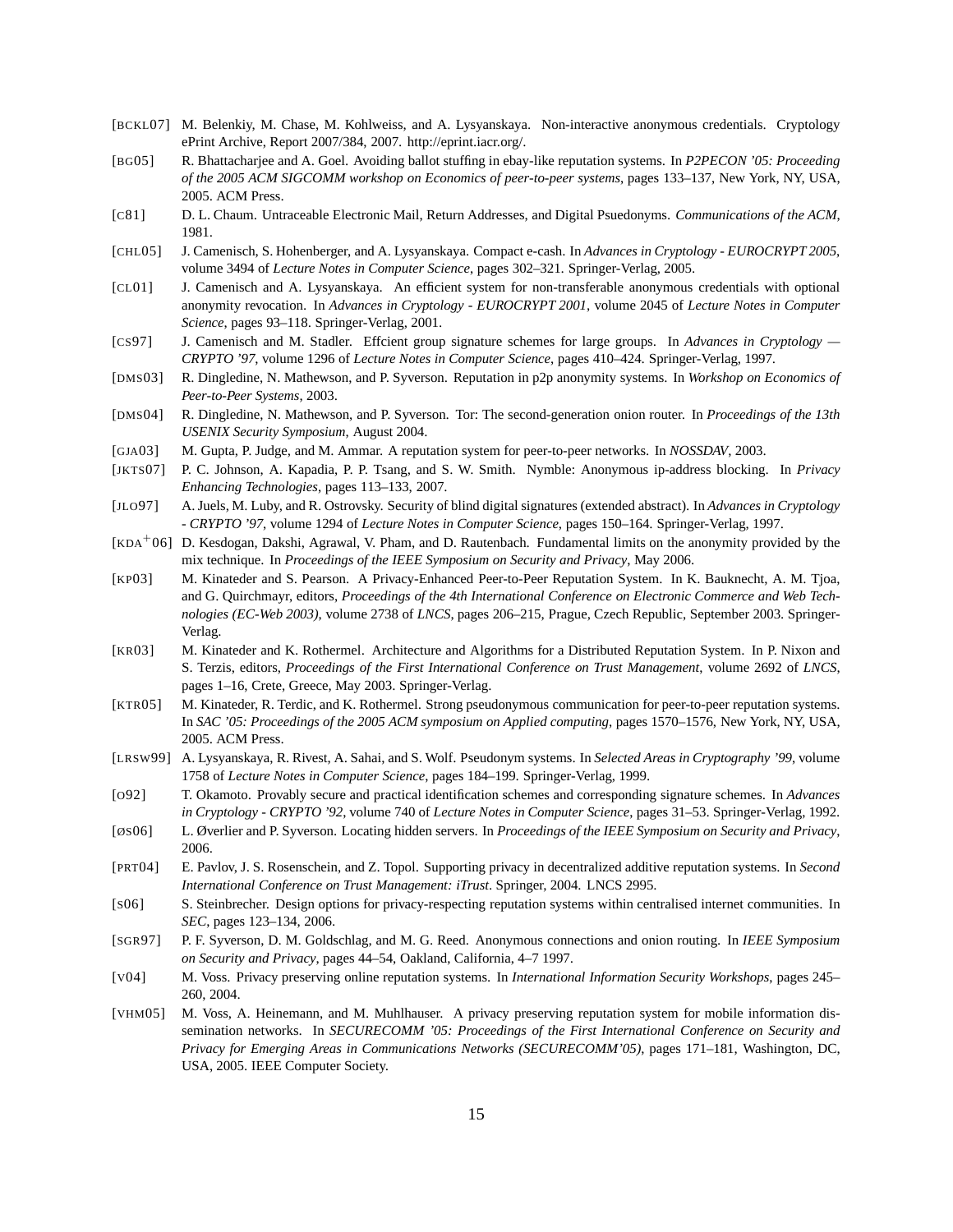- [BCKL07] M. Belenkiy, M. Chase, M. Kohlweiss, and A. Lysyanskaya. Non-interactive anonymous credentials. Cryptology ePrint Archive, Report 2007/384, 2007. http://eprint.iacr.org/.
- [BG05] R. Bhattacharjee and A. Goel. Avoiding ballot stuffing in ebay-like reputation systems. In *P2PECON '05: Proceeding of the 2005 ACM SIGCOMM workshop on Economics of peer-to-peer systems*, pages 133–137, New York, NY, USA, 2005. ACM Press.
- [C81] D. L. Chaum. Untraceable Electronic Mail, Return Addresses, and Digital Psuedonyms. *Communications of the ACM*, 1981.
- [CHL05] J. Camenisch, S. Hohenberger, and A. Lysyanskaya. Compact e-cash. In *Advances in Cryptology EUROCRYPT 2005*, volume 3494 of *Lecture Notes in Computer Science*, pages 302–321. Springer-Verlag, 2005.
- [CL01] J. Camenisch and A. Lysyanskaya. An efficient system for non-transferable anonymous credentials with optional anonymity revocation. In *Advances in Cryptology - EUROCRYPT 2001*, volume 2045 of *Lecture Notes in Computer Science*, pages 93–118. Springer-Verlag, 2001.
- [CS97] J. Camenisch and M. Stadler. Effcient group signature schemes for large groups. In *Advances in Cryptology — CRYPTO '97*, volume 1296 of *Lecture Notes in Computer Science*, pages 410–424. Springer-Verlag, 1997.
- [DMS03] R. Dingledine, N. Mathewson, and P. Syverson. Reputation in p2p anonymity systems. In *Workshop on Economics of Peer-to-Peer Systems*, 2003.
- [DMS04] R. Dingledine, N. Mathewson, and P. Syverson. Tor: The second-generation onion router. In *Proceedings of the 13th USENIX Security Symposium*, August 2004.
- [GJA03] M. Gupta, P. Judge, and M. Ammar. A reputation system for peer-to-peer networks. In *NOSSDAV*, 2003.
- [JKTS07] P. C. Johnson, A. Kapadia, P. P. Tsang, and S. W. Smith. Nymble: Anonymous ip-address blocking. In *Privacy Enhancing Technologies*, pages 113–133, 2007.
- [JLO97] A. Juels, M. Luby, and R. Ostrovsky. Security of blind digital signatures (extended abstract). In *Advances in Cryptology - CRYPTO '97*, volume 1294 of *Lecture Notes in Computer Science*, pages 150–164. Springer-Verlag, 1997.
- $[KDA+06]$  D. Kesdogan, Dakshi, Agrawal, V. Pham, and D. Rautenbach. Fundamental limits on the anonymity provided by the mix technique. In *Proceedings of the IEEE Symposium on Security and Privacy*, May 2006.
- [KP03] M. Kinateder and S. Pearson. A Privacy-Enhanced Peer-to-Peer Reputation System. In K. Bauknecht, A. M. Tjoa, and G. Quirchmayr, editors, *Proceedings of the 4th International Conference on Electronic Commerce and Web Technologies (EC-Web 2003)*, volume 2738 of *LNCS*, pages 206–215, Prague, Czech Republic, September 2003. Springer-Verlag.
- [KR03] M. Kinateder and K. Rothermel. Architecture and Algorithms for a Distributed Reputation System. In P. Nixon and S. Terzis, editors, *Proceedings of the First International Conference on Trust Management*, volume 2692 of *LNCS*, pages 1–16, Crete, Greece, May 2003. Springer-Verlag.
- [KTR05] M. Kinateder, R. Terdic, and K. Rothermel. Strong pseudonymous communication for peer-to-peer reputation systems. In *SAC '05: Proceedings of the 2005 ACM symposium on Applied computing*, pages 1570–1576, New York, NY, USA, 2005. ACM Press.
- [LRSW99] A. Lysyanskaya, R. Rivest, A. Sahai, and S. Wolf. Pseudonym systems. In *Selected Areas in Cryptography '99*, volume 1758 of *Lecture Notes in Computer Science*, pages 184–199. Springer-Verlag, 1999.
- [O92] T. Okamoto. Provably secure and practical identification schemes and corresponding signature schemes. In *Advances in Cryptology - CRYPTO '92*, volume 740 of *Lecture Notes in Computer Science*, pages 31–53. Springer-Verlag, 1992.
- [ØS06] L. Øverlier and P. Syverson. Locating hidden servers. In *Proceedings of the IEEE Symposium on Security and Privacy*, 2006.
- [PRT04] E. Pavlov, J. S. Rosenschein, and Z. Topol. Supporting privacy in decentralized additive reputation systems. In *Second International Conference on Trust Management: iTrust*. Springer, 2004. LNCS 2995.
- [S06] S. Steinbrecher. Design options for privacy-respecting reputation systems within centralised internet communities. In *SEC*, pages 123–134, 2006.
- [SGR97] P. F. Syverson, D. M. Goldschlag, and M. G. Reed. Anonymous connections and onion routing. In *IEEE Symposium on Security and Privacy*, pages 44–54, Oakland, California, 4–7 1997.
- [V04] M. Voss. Privacy preserving online reputation systems. In *International Information Security Workshops*, pages 245– 260, 2004.
- [VHM05] M. Voss, A. Heinemann, and M. Muhlhauser. A privacy preserving reputation system for mobile information dissemination networks. In *SECURECOMM '05: Proceedings of the First International Conference on Security and Privacy for Emerging Areas in Communications Networks (SECURECOMM'05)*, pages 171–181, Washington, DC, USA, 2005. IEEE Computer Society.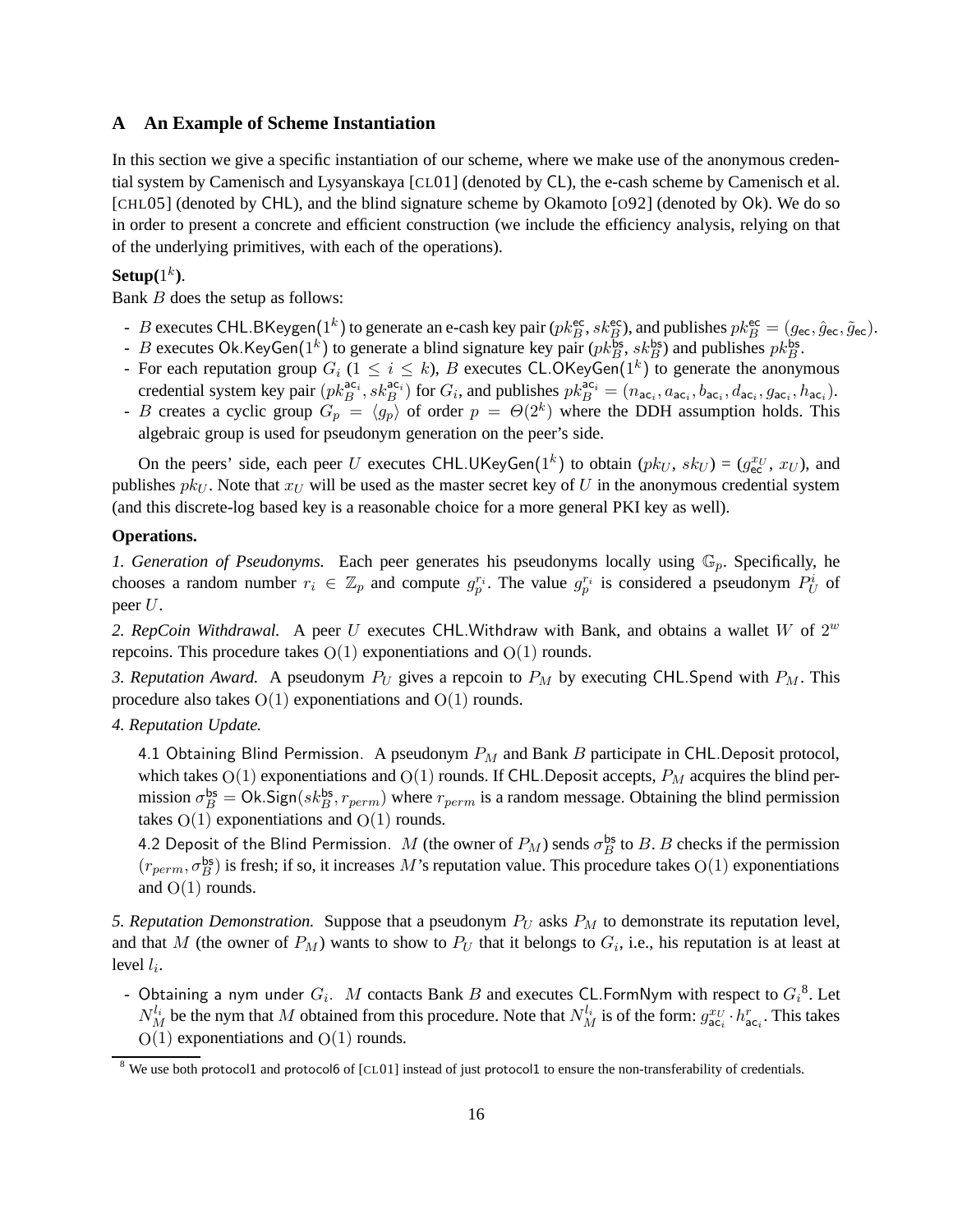#### **A An Example of Scheme Instantiation**

In this section we give a specific instantiation of our scheme, where we make use of the anonymous credential system by Camenisch and Lysyanskaya [CL01] (denoted by CL), the e-cash scheme by Camenisch et al. [CHL05] (denoted by CHL), and the blind signature scheme by Okamoto [O92] (denoted by Ok). We do so in order to present a concrete and efficient construction (we include the efficiency analysis, relying on that of the underlying primitives, with each of the operations).

# $\mathbf{Setup}(1^k)$ .

Bank  $B$  does the setup as follows:

- B executes CHL.BKeygen(1<sup>k</sup>) to generate an e-cash key pair ( $pk_B^{\text{ec}}$ ,  $sk_B^{\text{ec}}$ ), and publishes  $pk_B^{\text{ec}} = (g_{\text{ec}}, \hat{g}_{\text{ec}}, \tilde{g}_{\text{ec}})$ .
- B executes Ok. Key Gen $(1^k)$  to generate a blind signature key pair  $(pk_B^{bs}, sk_B^{bs})$  and publishes  $pk_B^{bs}$ .
- For each reputation group  $G_i$  ( $1 \leq i \leq k$ ), B executes CL.OKeyGen( $1^k$ ) to generate the anonymous credential system key pair  $(pk_B^{ac_i}, sk_B^{ac_i})$  for  $G_i$ , and publishes  $pk_B^{ac_i} = (n_{ac_i}, a_{ac_i}, b_{ac_i}, d_{ac_i}, g_{ac_i}, h_{ac_i})$ .
- B creates a cyclic group  $G_p = \langle g_p \rangle$  of order  $p = \Theta(2^k)$  where the DDH assumption holds. This algebraic group is used for pseudonym generation on the peer's side.

On the peers' side, each peer U executes CHL.UKeyGen( $1^k$ ) to obtain ( $pk_U$ ,  $sk_U$ ) = ( $g_{ec}^{x_U}$ ,  $x_U$ ), and publishes  $pk_U$ . Note that  $x_U$  will be used as the master secret key of U in the anonymous credential system (and this discrete-log based key is a reasonable choice for a more general PKI key as well).

#### **Operations.**

*1. Generation of Pseudonyms.* Each peer generates his pseudonyms locally using  $\mathbb{G}_p$ . Specifically, he chooses a random number  $r_i \in \mathbb{Z}_p$  and compute  $g_p^{r_i}$ . The value  $g_p^{r_i}$  is considered a pseudonym  $P_U^i$  of peer U.

2. RepCoin Withdrawal. A peer U executes CHL.Withdraw with Bank, and obtains a wallet W of  $2^w$ repcoins. This procedure takes  $O(1)$  exponentiations and  $O(1)$  rounds.

*3. Reputation Award.* A pseudonym  $P_U$  gives a repcoin to  $P_M$  by executing CHL. Spend with  $P_M$ . This procedure also takes  $O(1)$  exponentiations and  $O(1)$  rounds.

#### *4. Reputation Update.*

4.1 Obtaining Blind Permission. A pseudonym  $P_M$  and Bank  $B$  participate in CHL.Deposit protocol, which takes  $O(1)$  exponentiations and  $O(1)$  rounds. If CHL. Deposit accepts,  $P_M$  acquires the blind permission  $\sigma_B^{bs} = \text{Ok.Sign}(sk_B^{bs}, r_{perm})$  where  $r_{perm}$  is a random message. Obtaining the blind permission takes  $O(1)$  exponentiations and  $O(1)$  rounds.

4.2 Deposit of the Blind Permission.  $M$  (the owner of  $P_M$ ) sends  $\sigma_B^{\text{bs}}$  to  $B.$   $B$  checks if the permission  $(r_{perm}, \sigma_B^{bs})$  is fresh; if so, it increases M's reputation value. This procedure takes  $O(1)$  exponentiations and  $O(1)$  rounds.

*5. Reputation Demonstration.* Suppose that a pseudonym  $P_U$  asks  $P_M$  to demonstrate its reputation level, and that M (the owner of  $P_M$ ) wants to show to  $P_U$  that it belongs to  $G_i$ , i.e., his reputation is at least at level  $l_i$ .

- Obtaining a nym under  $G_i$ . M contacts Bank B and executes CL.FormNym with respect to  $G_i$ <sup>8</sup>. Let  $N_M^{l_i}$  be the nym that M obtained from this procedure. Note that  $N_M^{l_i}$  is of the form:  $g_{ac_i}^{x_U} \cdot h_{ac_i}^r$ . This takes  $O(1)$  exponentiations and  $O(1)$  rounds.

<sup>&</sup>lt;sup>8</sup> We use both protocol1 and protocol6 of [CL01] instead of just protocol1 to ensure the non-transferability of credentials.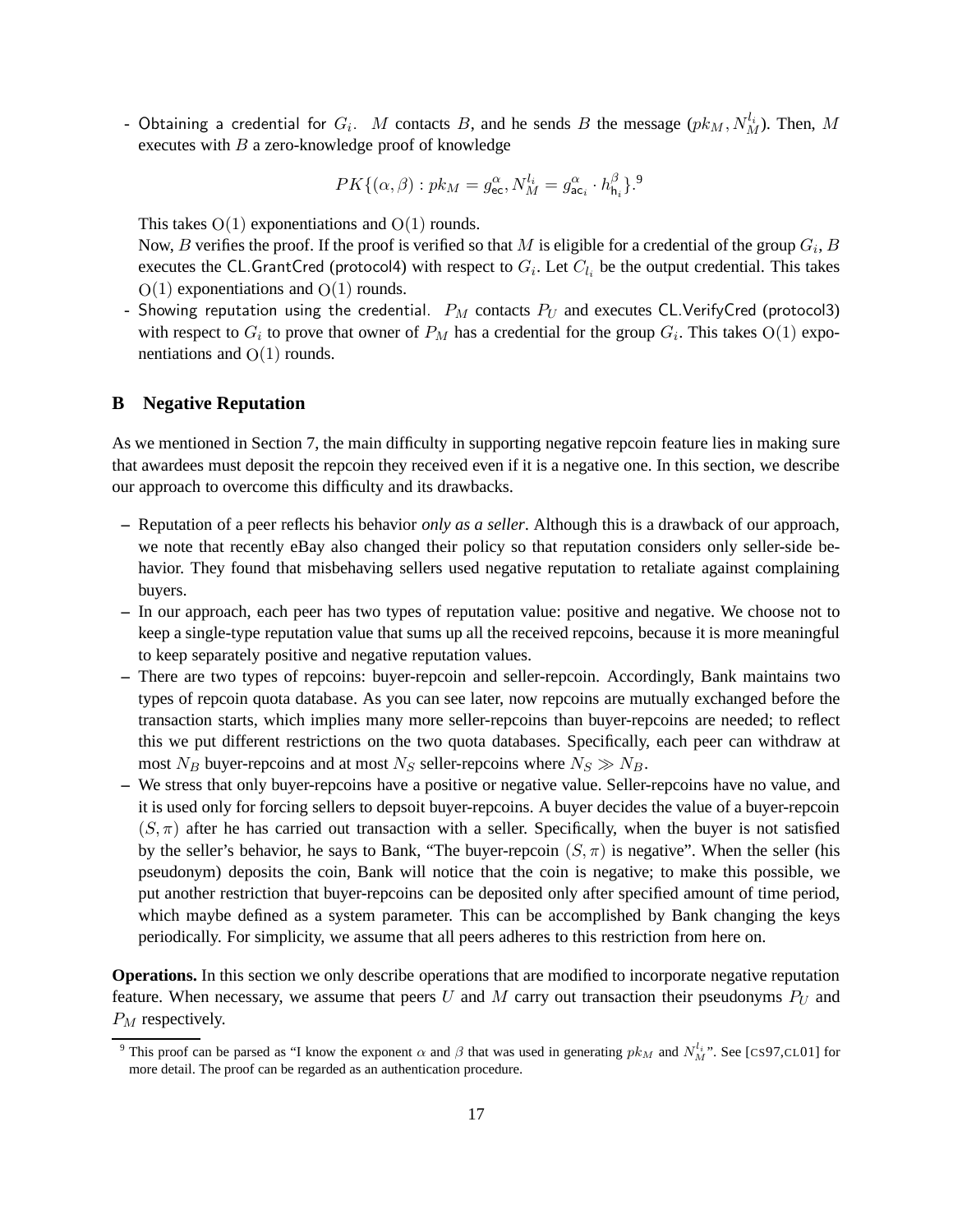- Obtaining a credential for  $G_i$ . M contacts B, and he sends B the message  $(pk_M, N_M^{l_i})$ . Then, M executes with  $B$  a zero-knowledge proof of knowledge

$$
PK\{(\alpha,\beta):pk_M=g_{\text{ec}}^{\alpha},N_M^{l_i}=g_{\text{ac}_i}^{\alpha}\cdot h_{\text{h}_i}^{\beta}\}.
$$

This takes  $O(1)$  exponentiations and  $O(1)$  rounds.

Now,  $B$  verifies the proof. If the proof is verified so that  $M$  is eligible for a credential of the group  $G_i, B$ executes the CL.GrantCred (protocol4) with respect to  $G_i$ . Let  $C_{l_i}$  be the output credential. This takes  $O(1)$  exponentiations and  $O(1)$  rounds.

Showing reputation using the credential.  $P_M$  contacts  $P_U$  and executes CL.VerifyCred (protocol3) with respect to  $G_i$  to prove that owner of  $P_M$  has a credential for the group  $G_i$ . This takes  $O(1)$  exponentiations and  $O(1)$  rounds.

### **B Negative Reputation**

As we mentioned in Section 7, the main difficulty in supporting negative repcoin feature lies in making sure that awardees must deposit the repcoin they received even if it is a negative one. In this section, we describe our approach to overcome this difficulty and its drawbacks.

- **–** Reputation of a peer reflects his behavior *only as a seller*. Although this is a drawback of our approach, we note that recently eBay also changed their policy so that reputation considers only seller-side behavior. They found that misbehaving sellers used negative reputation to retaliate against complaining buyers.
- **–** In our approach, each peer has two types of reputation value: positive and negative. We choose not to keep a single-type reputation value that sums up all the received repcoins, because it is more meaningful to keep separately positive and negative reputation values.
- **–** There are two types of repcoins: buyer-repcoin and seller-repcoin. Accordingly, Bank maintains two types of repcoin quota database. As you can see later, now repcoins are mutually exchanged before the transaction starts, which implies many more seller-repcoins than buyer-repcoins are needed; to reflect this we put different restrictions on the two quota databases. Specifically, each peer can withdraw at most  $N_B$  buyer-repcoins and at most  $N_S$  seller-repcoins where  $N_S \gg N_B$ .
- **–** We stress that only buyer-repcoins have a positive or negative value. Seller-repcoins have no value, and it is used only for forcing sellers to depsoit buyer-repcoins. A buyer decides the value of a buyer-repcoin  $(S, \pi)$  after he has carried out transaction with a seller. Specifically, when the buyer is not satisfied by the seller's behavior, he says to Bank, "The buyer-repcoin  $(S, \pi)$  is negative". When the seller (his pseudonym) deposits the coin, Bank will notice that the coin is negative; to make this possible, we put another restriction that buyer-repcoins can be deposited only after specified amount of time period, which maybe defined as a system parameter. This can be accomplished by Bank changing the keys periodically. For simplicity, we assume that all peers adheres to this restriction from here on.

**Operations.** In this section we only describe operations that are modified to incorporate negative reputation feature. When necessary, we assume that peers  $U$  and  $M$  carry out transaction their pseudonyms  $P_U$  and  $P_M$  respectively.

<sup>&</sup>lt;sup>9</sup> This proof can be parsed as "I know the exponent  $\alpha$  and  $\beta$  that was used in generating  $pk_M$  and  $N_M^{l_i}$ ". See [CS97,CL01] for more detail. The proof can be regarded as an authentication procedure.